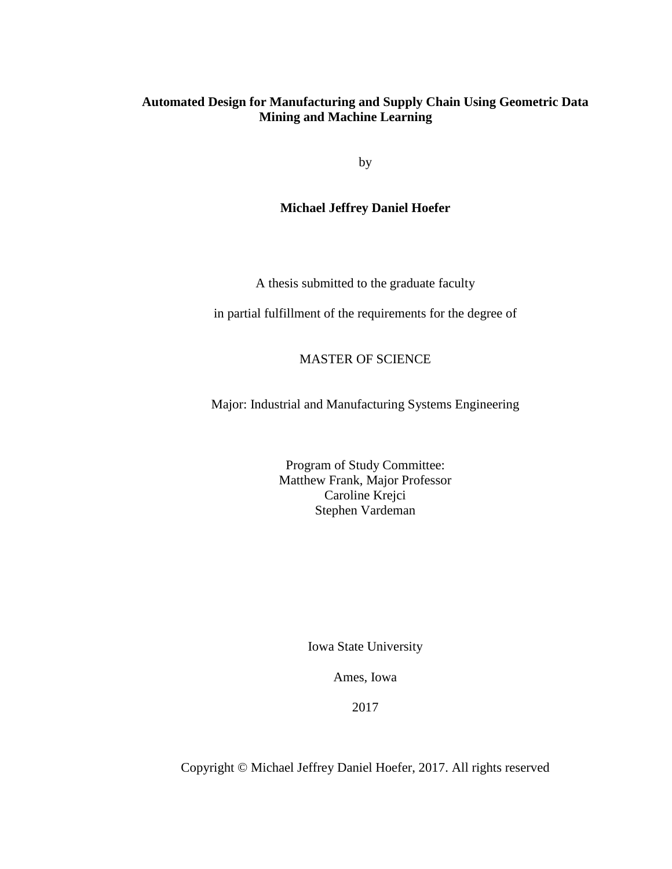# **Automated Design for Manufacturing and Supply Chain Using Geometric Data Mining and Machine Learning**

by

# **Michael Jeffrey Daniel Hoefer**

A thesis submitted to the graduate faculty

in partial fulfillment of the requirements for the degree of

# MASTER OF SCIENCE

Major: Industrial and Manufacturing Systems Engineering

Program of Study Committee: Matthew Frank, Major Professor Caroline Krejci Stephen Vardeman

Iowa State University

Ames, Iowa

2017

Copyright © Michael Jeffrey Daniel Hoefer, 2017. All rights reserved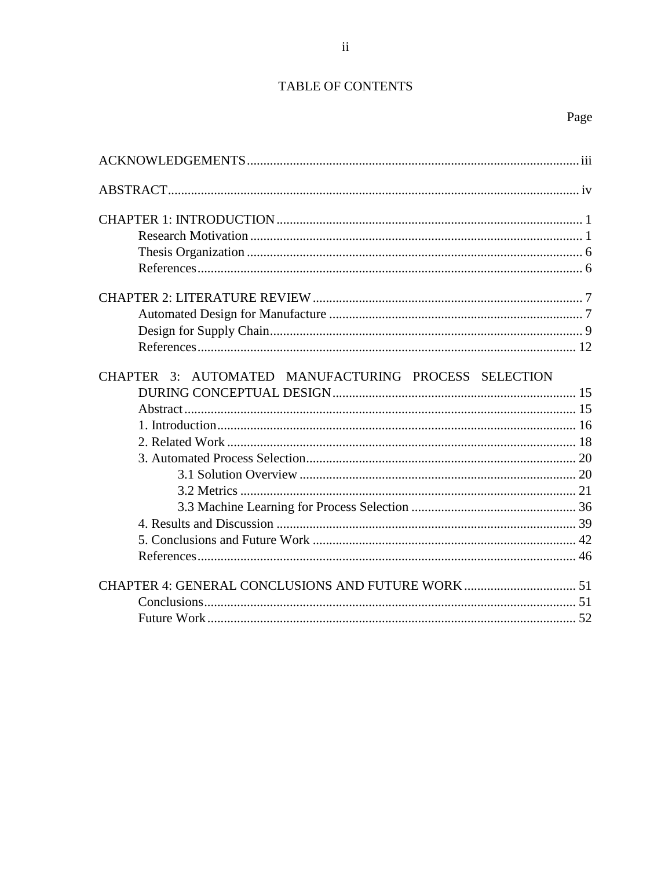# TABLE OF CONTENTS

| CHAPTER 3: AUTOMATED MANUFACTURING PROCESS SELECTION |  |
|------------------------------------------------------|--|
|                                                      |  |
|                                                      |  |
|                                                      |  |
|                                                      |  |
|                                                      |  |
|                                                      |  |
|                                                      |  |
|                                                      |  |
|                                                      |  |
|                                                      |  |
|                                                      |  |
|                                                      |  |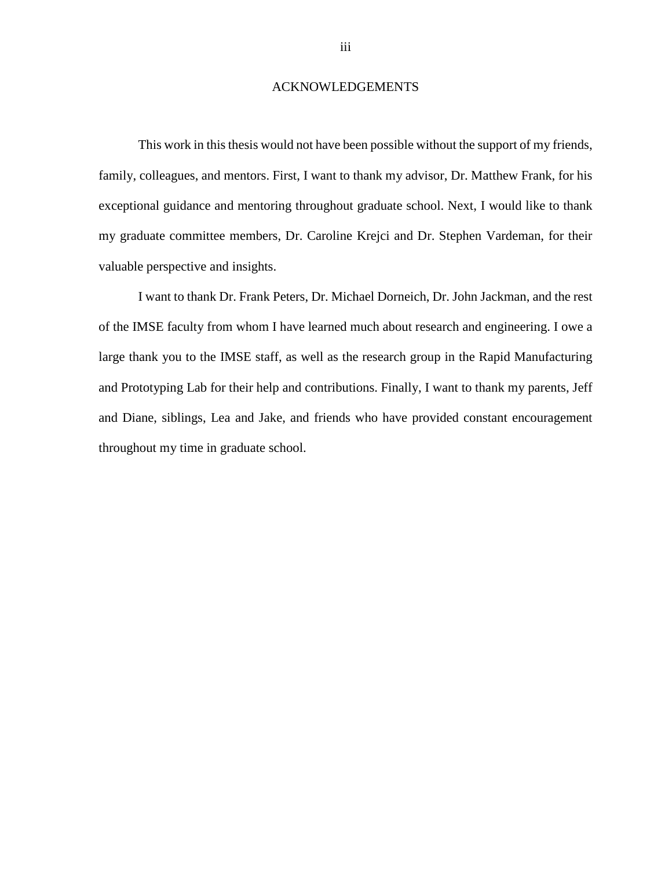#### ACKNOWLEDGEMENTS

<span id="page-2-0"></span>This work in this thesis would not have been possible without the support of my friends, family, colleagues, and mentors. First, I want to thank my advisor, Dr. Matthew Frank, for his exceptional guidance and mentoring throughout graduate school. Next, I would like to thank my graduate committee members, Dr. Caroline Krejci and Dr. Stephen Vardeman, for their valuable perspective and insights.

I want to thank Dr. Frank Peters, Dr. Michael Dorneich, Dr. John Jackman, and the rest of the IMSE faculty from whom I have learned much about research and engineering. I owe a large thank you to the IMSE staff, as well as the research group in the Rapid Manufacturing and Prototyping Lab for their help and contributions. Finally, I want to thank my parents, Jeff and Diane, siblings, Lea and Jake, and friends who have provided constant encouragement throughout my time in graduate school.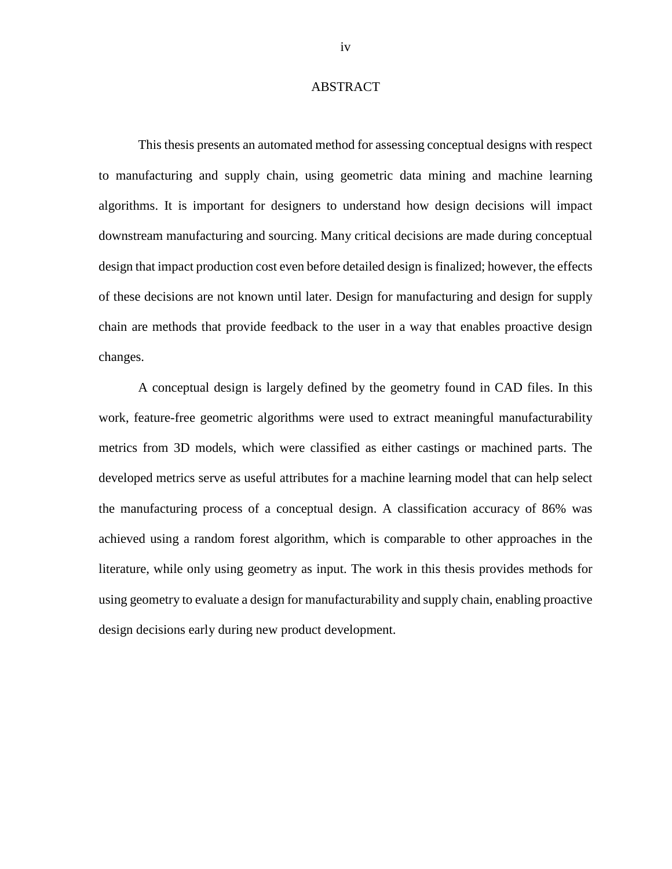#### ABSTRACT

<span id="page-3-0"></span>This thesis presents an automated method for assessing conceptual designs with respect to manufacturing and supply chain, using geometric data mining and machine learning algorithms. It is important for designers to understand how design decisions will impact downstream manufacturing and sourcing. Many critical decisions are made during conceptual design that impact production cost even before detailed design is finalized; however, the effects of these decisions are not known until later. Design for manufacturing and design for supply chain are methods that provide feedback to the user in a way that enables proactive design changes.

A conceptual design is largely defined by the geometry found in CAD files. In this work, feature-free geometric algorithms were used to extract meaningful manufacturability metrics from 3D models, which were classified as either castings or machined parts. The developed metrics serve as useful attributes for a machine learning model that can help select the manufacturing process of a conceptual design. A classification accuracy of 86% was achieved using a random forest algorithm, which is comparable to other approaches in the literature, while only using geometry as input. The work in this thesis provides methods for using geometry to evaluate a design for manufacturability and supply chain, enabling proactive design decisions early during new product development.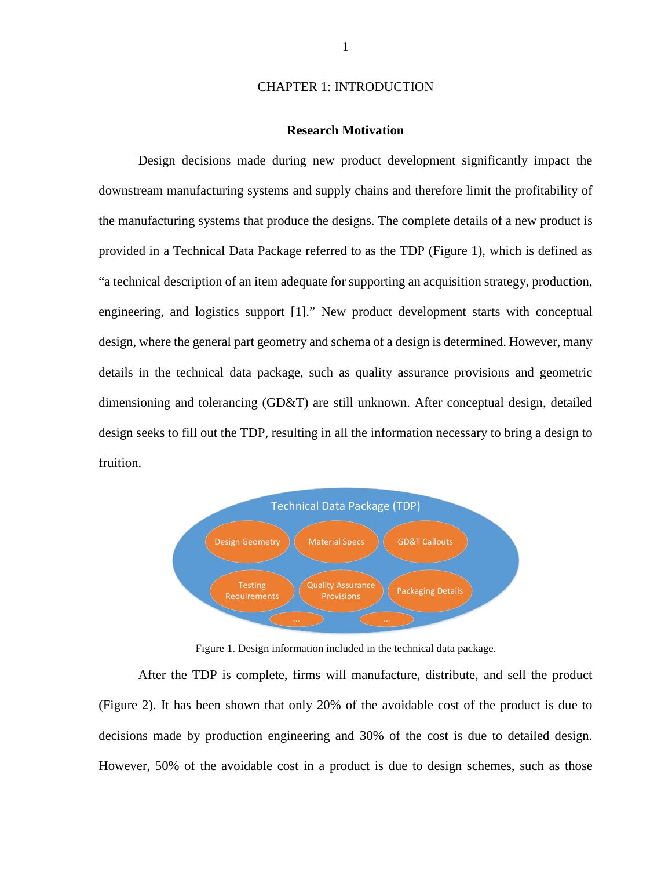#### CHAPTER 1: INTRODUCTION

#### **Research Motivation**

<span id="page-4-1"></span><span id="page-4-0"></span>Design decisions made during new product development significantly impact the downstream manufacturing systems and supply chains and therefore limit the profitability of the manufacturing systems that produce the designs. The complete details of a new product is provided in a Technical Data Package referred to as the TDP [\(Figure 1\)](#page-4-2), which is defined as "a technical description of an item adequate for supporting an acquisition strategy, production, engineering, and logistics support [\[1\]](#page-9-2)." New product development starts with conceptual design, where the general part geometry and schema of a design is determined. However, many details in the technical data package, such as quality assurance provisions and geometric dimensioning and tolerancing (GD&T) are still unknown. After conceptual design, detailed design seeks to fill out the TDP, resulting in all the information necessary to bring a design to fruition.



<span id="page-4-2"></span>Figure 1. Design information included in the technical data package.

After the TDP is complete, firms will manufacture, distribute, and sell the product [\(Figure 2\)](#page-5-0). It has been shown that only 20% of the avoidable cost of the product is due to decisions made by production engineering and 30% of the cost is due to detailed design. However, 50% of the avoidable cost in a product is due to design schemes, such as those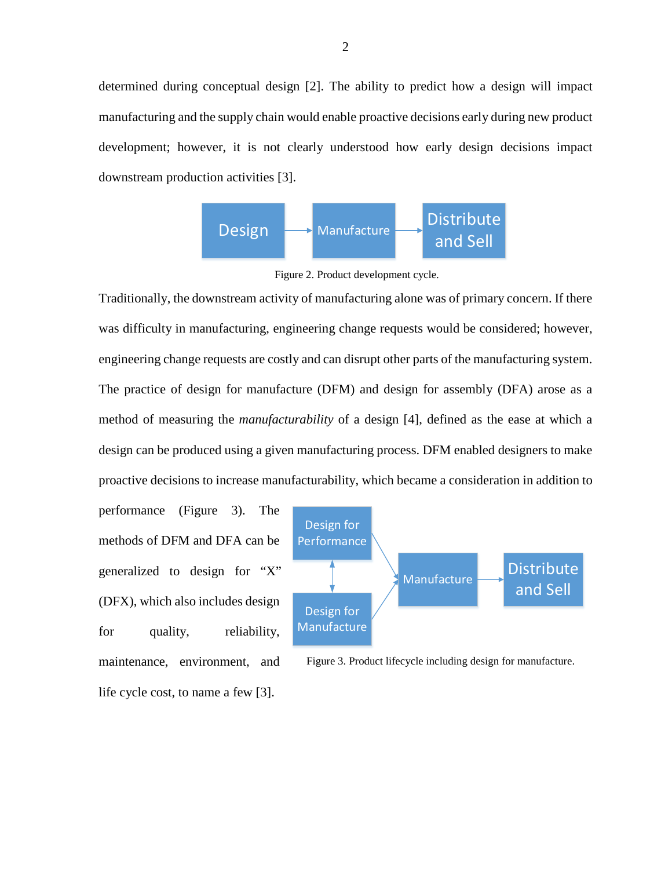determined during conceptual design [\[2\]](#page-9-3). The ability to predict how a design will impact manufacturing and the supply chain would enable proactive decisions early during new product development; however, it is not clearly understood how early design decisions impact downstream production activities [\[3\]](#page-9-4).

<span id="page-5-0"></span>

Figure 2. Product development cycle.

Traditionally, the downstream activity of manufacturing alone was of primary concern. If there was difficulty in manufacturing, engineering change requests would be considered; however, engineering change requests are costly and can disrupt other parts of the manufacturing system. The practice of design for manufacture (DFM) and design for assembly (DFA) arose as a method of measuring the *manufacturability* of a design [\[4\]](#page-9-5), defined as the ease at which a design can be produced using a given manufacturing process. DFM enabled designers to make proactive decisions to increase manufacturability, which became a consideration in addition to

performance [\(Figure 3\)](#page-5-1). The methods of DFM and DFA can be generalized to design for "X" (DFX), which also includes design for quality, reliability, maintenance, environment, and life cycle cost, to name a few [\[3\]](#page-9-4).



<span id="page-5-1"></span>Figure 3. Product lifecycle including design for manufacture.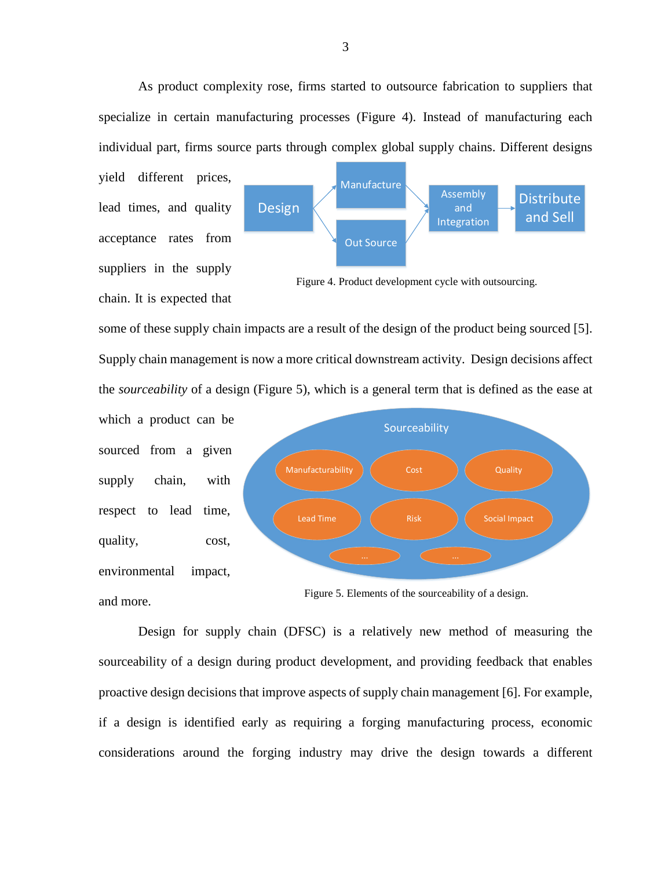As product complexity rose, firms started to outsource fabrication to suppliers that specialize in certain manufacturing processes [\(Figure 4\)](#page-6-0). Instead of manufacturing each individual part, firms source parts through complex global supply chains. Different designs

yield different prices, lead times, and quality acceptance rates from suppliers in the supply chain. It is expected that



<span id="page-6-0"></span>Figure 4. Product development cycle with outsourcing.

some of these supply chain impacts are a result of the design of the product being sourced [\[5\]](#page-9-6). Supply chain management is now a more critical downstream activity. Design decisions affect the *sourceability* of a design [\(Figure 5\)](#page-6-1), which is a general term that is defined as the ease at

which a product can be sourced from a given supply chain, with respect to lead time, quality, cost, environmental impact, and more.



<span id="page-6-1"></span>Figure 5. Elements of the sourceability of a design.

Design for supply chain (DFSC) is a relatively new method of measuring the sourceability of a design during product development, and providing feedback that enables proactive design decisions that improve aspects of supply chain management [\[6\]](#page-9-7). For example, if a design is identified early as requiring a forging manufacturing process, economic considerations around the forging industry may drive the design towards a different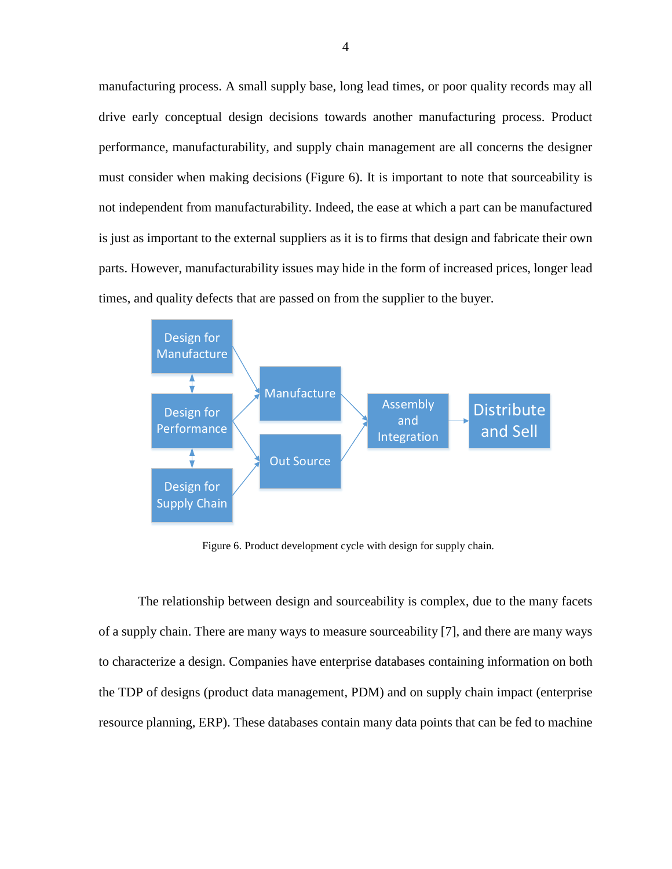manufacturing process. A small supply base, long lead times, or poor quality records may all drive early conceptual design decisions towards another manufacturing process. Product performance, manufacturability, and supply chain management are all concerns the designer must consider when making decisions [\(Figure 6\)](#page-7-0). It is important to note that sourceability is not independent from manufacturability. Indeed, the ease at which a part can be manufactured is just as important to the external suppliers as it is to firms that design and fabricate their own parts. However, manufacturability issues may hide in the form of increased prices, longer lead times, and quality defects that are passed on from the supplier to the buyer.



<span id="page-7-0"></span>Figure 6. Product development cycle with design for supply chain.

The relationship between design and sourceability is complex, due to the many facets of a supply chain. There are many ways to measure sourceability [\[7\]](#page-9-8), and there are many ways to characterize a design. Companies have enterprise databases containing information on both the TDP of designs (product data management, PDM) and on supply chain impact (enterprise resource planning, ERP). These databases contain many data points that can be fed to machine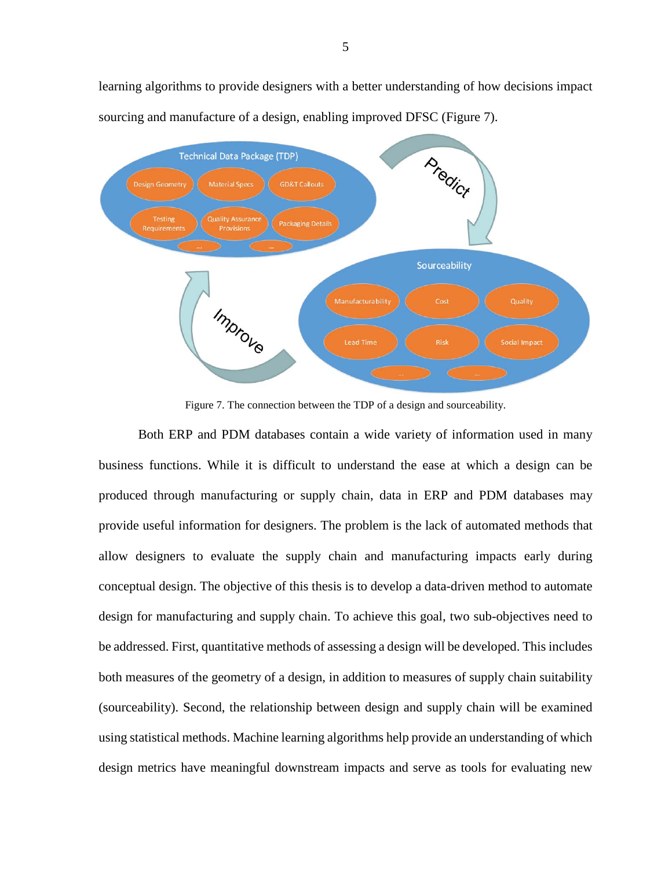

learning algorithms to provide designers with a better understanding of how decisions impact sourcing and manufacture of a design, enabling improved DFSC [\(Figure 7\)](#page-8-0).

Figure 7. The connection between the TDP of a design and sourceability.

<span id="page-8-0"></span>Both ERP and PDM databases contain a wide variety of information used in many business functions. While it is difficult to understand the ease at which a design can be produced through manufacturing or supply chain, data in ERP and PDM databases may provide useful information for designers. The problem is the lack of automated methods that allow designers to evaluate the supply chain and manufacturing impacts early during conceptual design. The objective of this thesis is to develop a data-driven method to automate design for manufacturing and supply chain. To achieve this goal, two sub-objectives need to be addressed. First, quantitative methods of assessing a design will be developed. This includes both measures of the geometry of a design, in addition to measures of supply chain suitability (sourceability). Second, the relationship between design and supply chain will be examined using statistical methods. Machine learning algorithms help provide an understanding of which design metrics have meaningful downstream impacts and serve as tools for evaluating new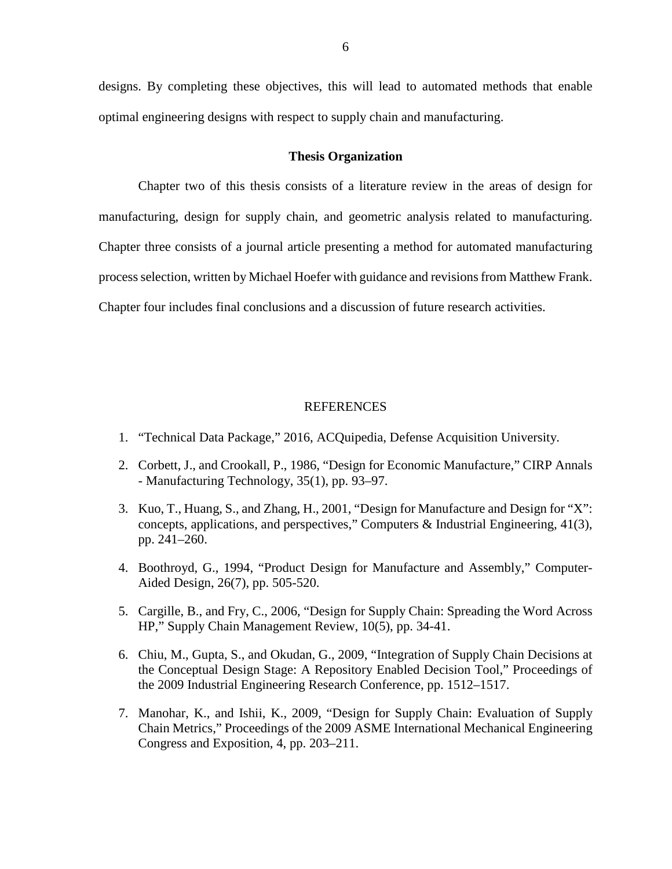designs. By completing these objectives, this will lead to automated methods that enable optimal engineering designs with respect to supply chain and manufacturing.

#### **Thesis Organization**

<span id="page-9-0"></span>Chapter two of this thesis consists of a literature review in the areas of design for manufacturing, design for supply chain, and geometric analysis related to manufacturing. Chapter three consists of a journal article presenting a method for automated manufacturing process selection, written by Michael Hoefer with guidance and revisions from Matthew Frank. Chapter four includes final conclusions and a discussion of future research activities.

#### REFERENCES

- <span id="page-9-2"></span><span id="page-9-1"></span>1. "Technical Data Package," 2016, ACQuipedia, Defense Acquisition University.
- <span id="page-9-3"></span>2. Corbett, J., and Crookall, P., 1986, "Design for Economic Manufacture," CIRP Annals - Manufacturing Technology, 35(1), pp. 93–97.
- <span id="page-9-4"></span>3. Kuo, T., Huang, S., and Zhang, H., 2001, "Design for Manufacture and Design for "X": concepts, applications, and perspectives," Computers & Industrial Engineering, 41(3), pp. 241–260.
- <span id="page-9-5"></span>4. Boothroyd, G., 1994, "Product Design for Manufacture and Assembly," Computer-Aided Design, 26(7), pp. 505-520.
- <span id="page-9-6"></span>5. Cargille, B., and Fry, C., 2006, "Design for Supply Chain: Spreading the Word Across HP," Supply Chain Management Review, 10(5), pp. 34-41.
- <span id="page-9-7"></span>6. Chiu, M., Gupta, S., and Okudan, G., 2009, "Integration of Supply Chain Decisions at the Conceptual Design Stage: A Repository Enabled Decision Tool," Proceedings of the 2009 Industrial Engineering Research Conference, pp. 1512–1517.
- <span id="page-9-8"></span>7. Manohar, K., and Ishii, K., 2009, "Design for Supply Chain: Evaluation of Supply Chain Metrics," Proceedings of the 2009 ASME International Mechanical Engineering Congress and Exposition, 4, pp. 203–211.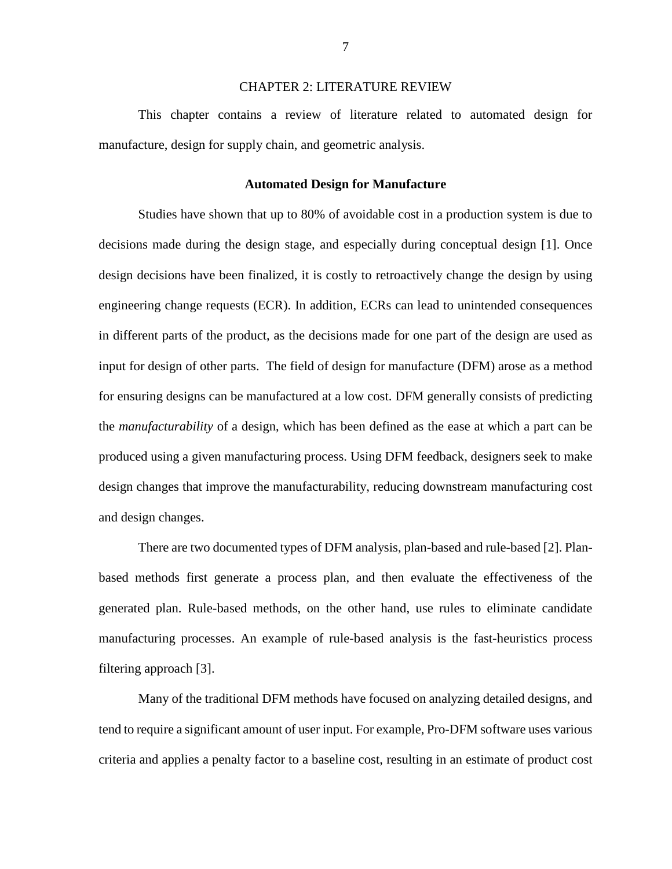#### CHAPTER 2: LITERATURE REVIEW

<span id="page-10-0"></span>This chapter contains a review of literature related to automated design for manufacture, design for supply chain, and geometric analysis.

#### **Automated Design for Manufacture**

<span id="page-10-1"></span>Studies have shown that up to 80% of avoidable cost in a production system is due to decisions made during the design stage, and especially during conceptual design [\[1\]](#page-15-1). Once design decisions have been finalized, it is costly to retroactively change the design by using engineering change requests (ECR). In addition, ECRs can lead to unintended consequences in different parts of the product, as the decisions made for one part of the design are used as input for design of other parts. The field of design for manufacture (DFM) arose as a method for ensuring designs can be manufactured at a low cost. DFM generally consists of predicting the *manufacturability* of a design, which has been defined as the ease at which a part can be produced using a given manufacturing process. Using DFM feedback, designers seek to make design changes that improve the manufacturability, reducing downstream manufacturing cost and design changes.

There are two documented types of DFM analysis, plan-based and rule-based [\[2\]](#page-15-2). Planbased methods first generate a process plan, and then evaluate the effectiveness of the generated plan. Rule-based methods, on the other hand, use rules to eliminate candidate manufacturing processes. An example of rule-based analysis is the fast-heuristics process filtering approach [\[3\]](#page-15-3).

Many of the traditional DFM methods have focused on analyzing detailed designs, and tend to require a significant amount of user input. For example, Pro-DFM software uses various criteria and applies a penalty factor to a baseline cost, resulting in an estimate of product cost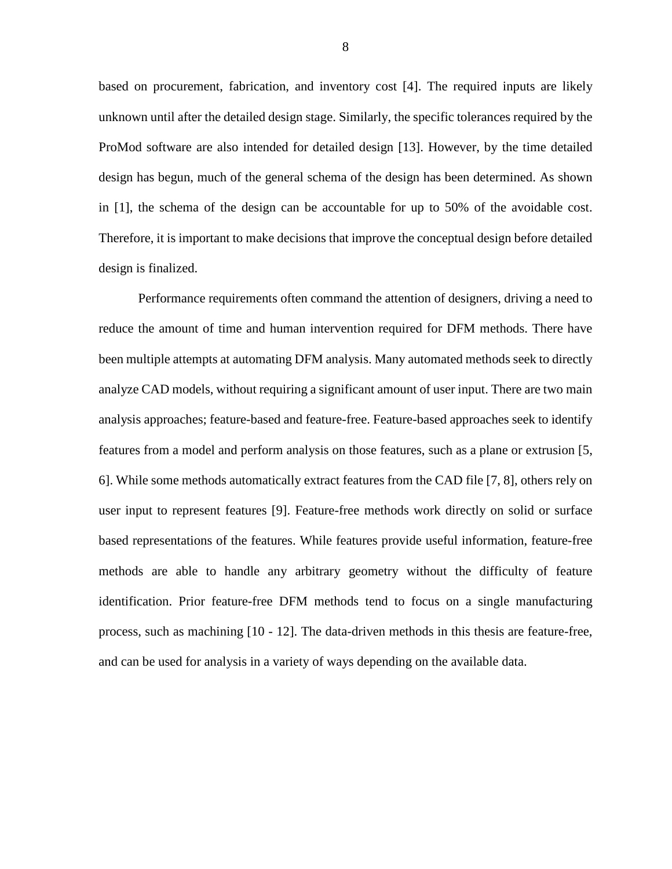based on procurement, fabrication, and inventory cost [\[4\]](#page-15-4). The required inputs are likely unknown until after the detailed design stage. Similarly, the specific tolerances required by the ProMod software are also intended for detailed design [\[13\]](#page-16-0). However, by the time detailed design has begun, much of the general schema of the design has been determined. As shown in [\[1\]](#page-15-1), the schema of the design can be accountable for up to 50% of the avoidable cost. Therefore, it is important to make decisions that improve the conceptual design before detailed design is finalized.

Performance requirements often command the attention of designers, driving a need to reduce the amount of time and human intervention required for DFM methods. There have been multiple attempts at automating DFM analysis. Many automated methods seek to directly analyze CAD models, without requiring a significant amount of user input. There are two main analysis approaches; feature-based and feature-free. Feature-based approaches seek to identify features from a model and perform analysis on those features, such as a plane or extrusion [\[5,](#page-15-5) [6\]](#page-15-6). While some methods automatically extract features from the CAD file [\[7,](#page-16-1) [8\]](#page-16-2), others rely on user input to represent features [\[9\]](#page-16-3). Feature-free methods work directly on solid or surface based representations of the features. While features provide useful information, feature-free methods are able to handle any arbitrary geometry without the difficulty of feature identification. Prior feature-free DFM methods tend to focus on a single manufacturing process, such as machining [\[10](#page-16-4) - [12\]](#page-16-5). The data-driven methods in this thesis are feature-free, and can be used for analysis in a variety of ways depending on the available data.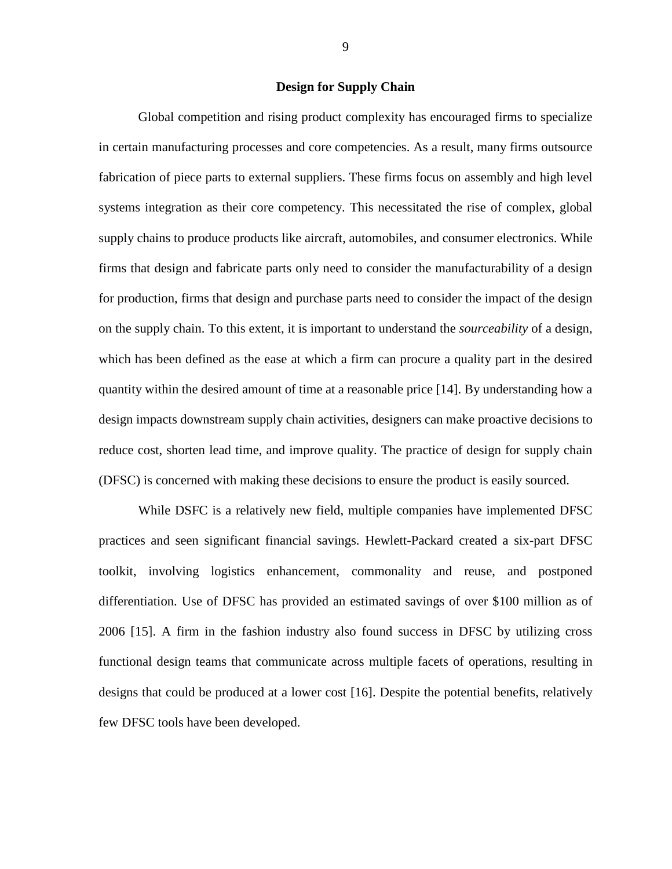#### **Design for Supply Chain**

<span id="page-12-0"></span>Global competition and rising product complexity has encouraged firms to specialize in certain manufacturing processes and core competencies. As a result, many firms outsource fabrication of piece parts to external suppliers. These firms focus on assembly and high level systems integration as their core competency. This necessitated the rise of complex, global supply chains to produce products like aircraft, automobiles, and consumer electronics. While firms that design and fabricate parts only need to consider the manufacturability of a design for production, firms that design and purchase parts need to consider the impact of the design on the supply chain. To this extent, it is important to understand the *sourceability* of a design, which has been defined as the ease at which a firm can procure a quality part in the desired quantity within the desired amount of time at a reasonable price [\[14\]](#page-16-6). By understanding how a design impacts downstream supply chain activities, designers can make proactive decisions to reduce cost, shorten lead time, and improve quality. The practice of design for supply chain (DFSC) is concerned with making these decisions to ensure the product is easily sourced.

While DSFC is a relatively new field, multiple companies have implemented DFSC practices and seen significant financial savings. Hewlett-Packard created a six-part DFSC toolkit, involving logistics enhancement, commonality and reuse, and postponed differentiation. Use of DFSC has provided an estimated savings of over \$100 million as of 2006 [\[15\]](#page-16-7). A firm in the fashion industry also found success in DFSC by utilizing cross functional design teams that communicate across multiple facets of operations, resulting in designs that could be produced at a lower cost [\[16\]](#page-16-8). Despite the potential benefits, relatively few DFSC tools have been developed.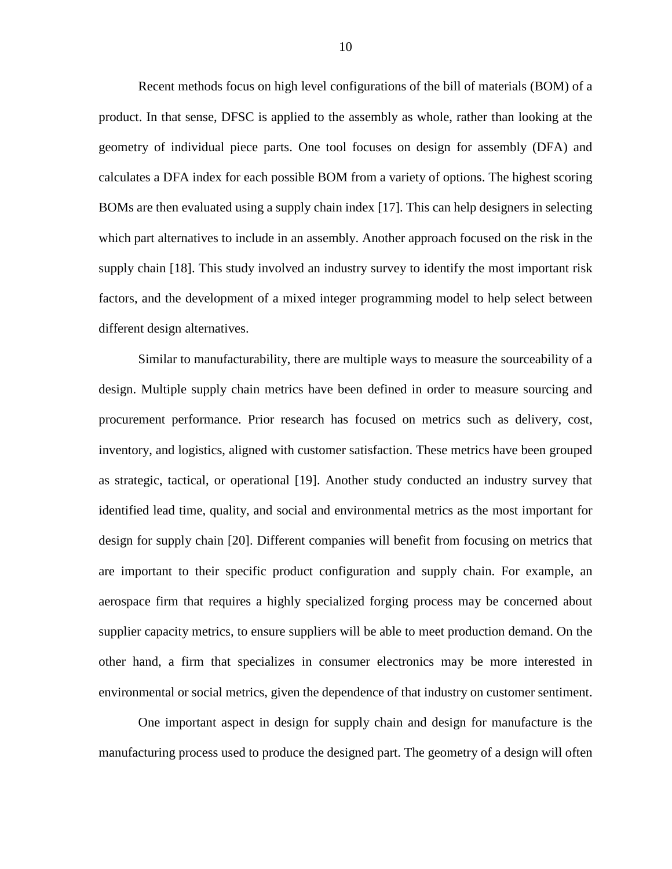Recent methods focus on high level configurations of the bill of materials (BOM) of a product. In that sense, DFSC is applied to the assembly as whole, rather than looking at the geometry of individual piece parts. One tool focuses on design for assembly (DFA) and calculates a DFA index for each possible BOM from a variety of options. The highest scoring BOMs are then evaluated using a supply chain index [\[17\]](#page-16-9). This can help designers in selecting which part alternatives to include in an assembly. Another approach focused on the risk in the supply chain [\[18\]](#page-16-10). This study involved an industry survey to identify the most important risk factors, and the development of a mixed integer programming model to help select between different design alternatives.

Similar to manufacturability, there are multiple ways to measure the sourceability of a design. Multiple supply chain metrics have been defined in order to measure sourcing and procurement performance. Prior research has focused on metrics such as delivery, cost, inventory, and logistics, aligned with customer satisfaction. These metrics have been grouped as strategic, tactical, or operational [\[19\]](#page-16-11). Another study conducted an industry survey that identified lead time, quality, and social and environmental metrics as the most important for design for supply chain [\[20\]](#page-17-0). Different companies will benefit from focusing on metrics that are important to their specific product configuration and supply chain. For example, an aerospace firm that requires a highly specialized forging process may be concerned about supplier capacity metrics, to ensure suppliers will be able to meet production demand. On the other hand, a firm that specializes in consumer electronics may be more interested in environmental or social metrics, given the dependence of that industry on customer sentiment.

One important aspect in design for supply chain and design for manufacture is the manufacturing process used to produce the designed part. The geometry of a design will often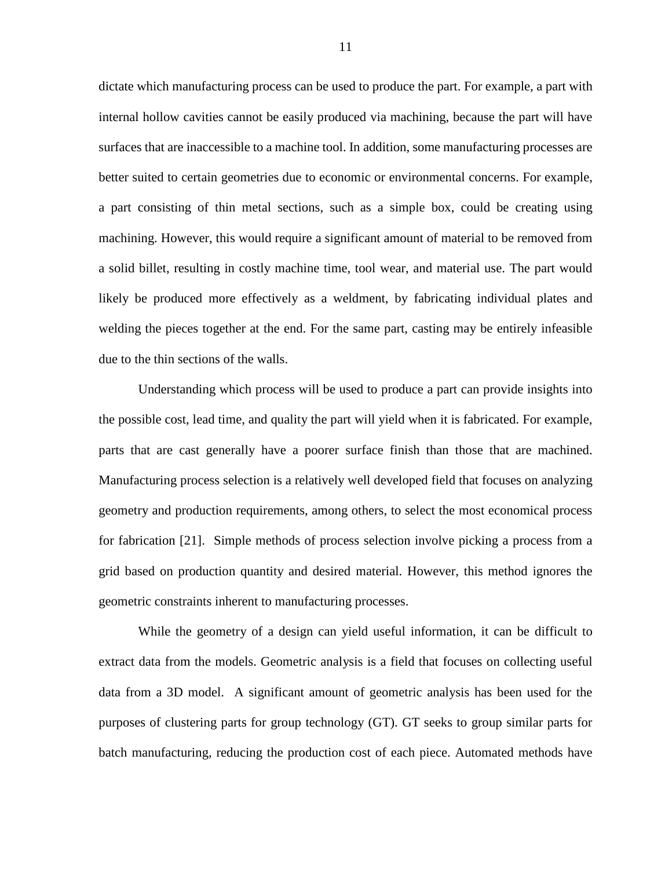dictate which manufacturing process can be used to produce the part. For example, a part with internal hollow cavities cannot be easily produced via machining, because the part will have surfaces that are inaccessible to a machine tool. In addition, some manufacturing processes are better suited to certain geometries due to economic or environmental concerns. For example, a part consisting of thin metal sections, such as a simple box, could be creating using machining. However, this would require a significant amount of material to be removed from a solid billet, resulting in costly machine time, tool wear, and material use. The part would likely be produced more effectively as a weldment, by fabricating individual plates and welding the pieces together at the end. For the same part, casting may be entirely infeasible due to the thin sections of the walls.

Understanding which process will be used to produce a part can provide insights into the possible cost, lead time, and quality the part will yield when it is fabricated. For example, parts that are cast generally have a poorer surface finish than those that are machined. Manufacturing process selection is a relatively well developed field that focuses on analyzing geometry and production requirements, among others, to select the most economical process for fabrication [\[21\]](#page-17-1). Simple methods of process selection involve picking a process from a grid based on production quantity and desired material. However, this method ignores the geometric constraints inherent to manufacturing processes.

While the geometry of a design can yield useful information, it can be difficult to extract data from the models. Geometric analysis is a field that focuses on collecting useful data from a 3D model. A significant amount of geometric analysis has been used for the purposes of clustering parts for group technology (GT). GT seeks to group similar parts for batch manufacturing, reducing the production cost of each piece. Automated methods have

11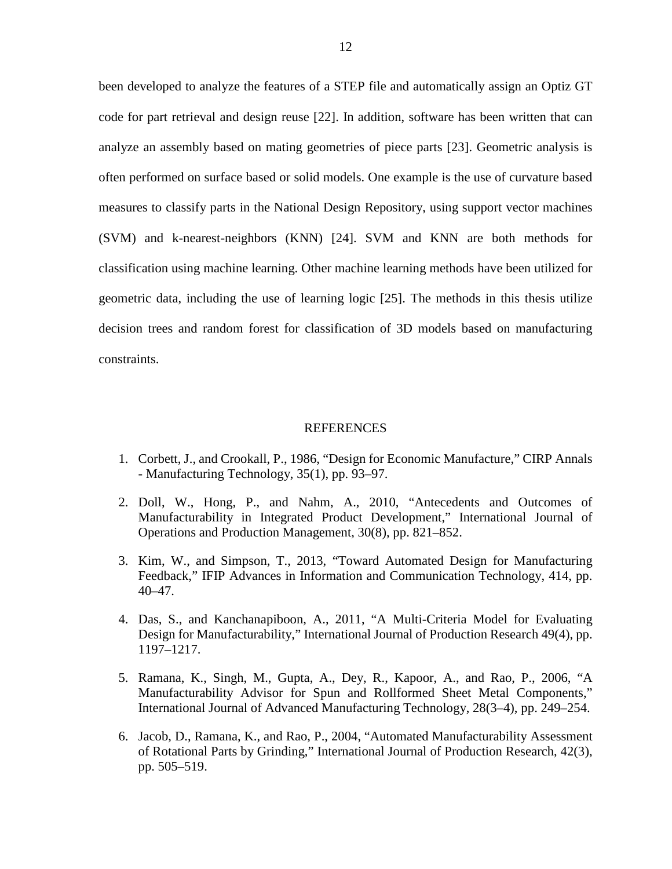been developed to analyze the features of a STEP file and automatically assign an Optiz GT code for part retrieval and design reuse [\[22\]](#page-17-2). In addition, software has been written that can analyze an assembly based on mating geometries of piece parts [\[23\]](#page-17-3). Geometric analysis is often performed on surface based or solid models. One example is the use of curvature based measures to classify parts in the National Design Repository, using support vector machines (SVM) and k-nearest-neighbors (KNN) [\[24\]](#page-17-4). SVM and KNN are both methods for classification using machine learning. Other machine learning methods have been utilized for geometric data, including the use of learning logic [\[25\]](#page-17-5). The methods in this thesis utilize decision trees and random forest for classification of 3D models based on manufacturing constraints.

#### REFERENCES

- <span id="page-15-1"></span><span id="page-15-0"></span>1. Corbett, J., and Crookall, P., 1986, "Design for Economic Manufacture," CIRP Annals - Manufacturing Technology, 35(1), pp. 93–97.
- <span id="page-15-2"></span>2. Doll, W., Hong, P., and Nahm, A., 2010, "Antecedents and Outcomes of Manufacturability in Integrated Product Development," International Journal of Operations and Production Management, 30(8), pp. 821–852.
- <span id="page-15-3"></span>3. Kim, W., and Simpson, T., 2013, "Toward Automated Design for Manufacturing Feedback," IFIP Advances in Information and Communication Technology, 414, pp. 40–47.
- <span id="page-15-4"></span>4. Das, S., and Kanchanapiboon, A., 2011, "A Multi-Criteria Model for Evaluating Design for Manufacturability," International Journal of Production Research 49(4), pp. 1197–1217.
- <span id="page-15-5"></span>5. Ramana, K., Singh, M., Gupta, A., Dey, R., Kapoor, A., and Rao, P., 2006, "A Manufacturability Advisor for Spun and Rollformed Sheet Metal Components," International Journal of Advanced Manufacturing Technology, 28(3–4), pp. 249–254.
- <span id="page-15-6"></span>6. Jacob, D., Ramana, K., and Rao, P., 2004, "Automated Manufacturability Assessment of Rotational Parts by Grinding," International Journal of Production Research, 42(3), pp. 505–519.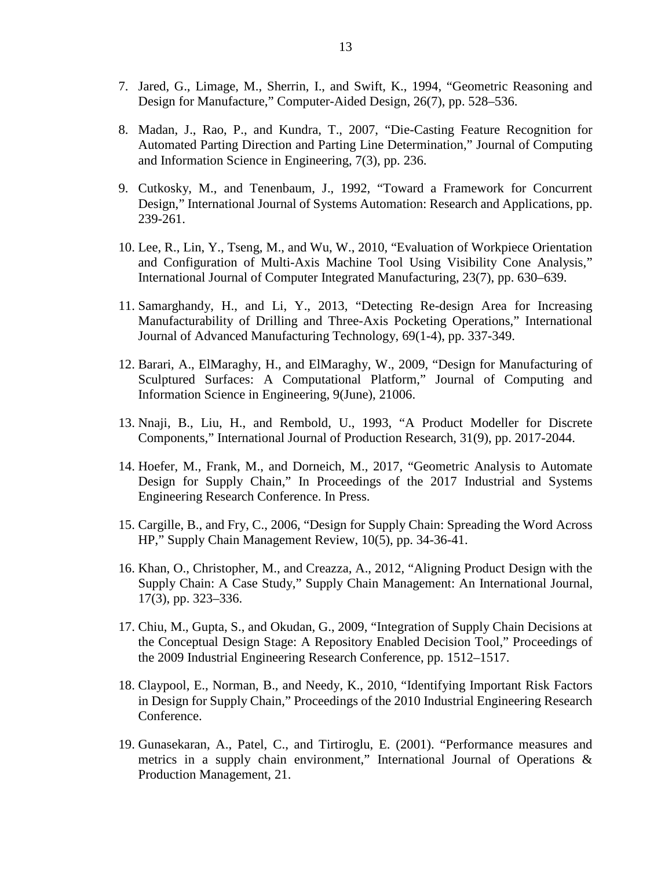- <span id="page-16-1"></span>7. Jared, G., Limage, M., Sherrin, I., and Swift, K., 1994, "Geometric Reasoning and Design for Manufacture," Computer-Aided Design, 26(7), pp. 528–536.
- <span id="page-16-2"></span>8. Madan, J., Rao, P., and Kundra, T., 2007, "Die-Casting Feature Recognition for Automated Parting Direction and Parting Line Determination," Journal of Computing and Information Science in Engineering, 7(3), pp. 236.
- <span id="page-16-3"></span>9. Cutkosky, M., and Tenenbaum, J., 1992, "Toward a Framework for Concurrent Design," International Journal of Systems Automation: Research and Applications, pp. 239-261.
- <span id="page-16-4"></span>10. Lee, R., Lin, Y., Tseng, M., and Wu, W., 2010, "Evaluation of Workpiece Orientation and Configuration of Multi-Axis Machine Tool Using Visibility Cone Analysis," International Journal of Computer Integrated Manufacturing, 23(7), pp. 630–639.
- 11. Samarghandy, H., and Li, Y., 2013, "Detecting Re-design Area for Increasing Manufacturability of Drilling and Three-Axis Pocketing Operations," International Journal of Advanced Manufacturing Technology, 69(1-4), pp. 337-349.
- <span id="page-16-5"></span>12. Barari, A., ElMaraghy, H., and ElMaraghy, W., 2009, "Design for Manufacturing of Sculptured Surfaces: A Computational Platform," Journal of Computing and Information Science in Engineering, 9(June), 21006.
- <span id="page-16-0"></span>13. Nnaji, B., Liu, H., and Rembold, U., 1993, "A Product Modeller for Discrete Components," International Journal of Production Research, 31(9), pp. 2017-2044.
- <span id="page-16-6"></span>14. Hoefer, M., Frank, M., and Dorneich, M., 2017, "Geometric Analysis to Automate Design for Supply Chain," In Proceedings of the 2017 Industrial and Systems Engineering Research Conference. In Press.
- <span id="page-16-7"></span>15. Cargille, B., and Fry, C., 2006, "Design for Supply Chain: Spreading the Word Across HP," Supply Chain Management Review, 10(5), pp. 34-36-41.
- <span id="page-16-8"></span>16. Khan, O., Christopher, M., and Creazza, A., 2012, "Aligning Product Design with the Supply Chain: A Case Study," Supply Chain Management: An International Journal, 17(3), pp. 323–336.
- <span id="page-16-9"></span>17. Chiu, M., Gupta, S., and Okudan, G., 2009, "Integration of Supply Chain Decisions at the Conceptual Design Stage: A Repository Enabled Decision Tool," Proceedings of the 2009 Industrial Engineering Research Conference, pp. 1512–1517.
- <span id="page-16-10"></span>18. Claypool, E., Norman, B., and Needy, K., 2010, "Identifying Important Risk Factors in Design for Supply Chain," Proceedings of the 2010 Industrial Engineering Research Conference.
- <span id="page-16-11"></span>19. Gunasekaran, A., Patel, C., and Tirtiroglu, E. (2001). "Performance measures and metrics in a supply chain environment," International Journal of Operations & Production Management, 21.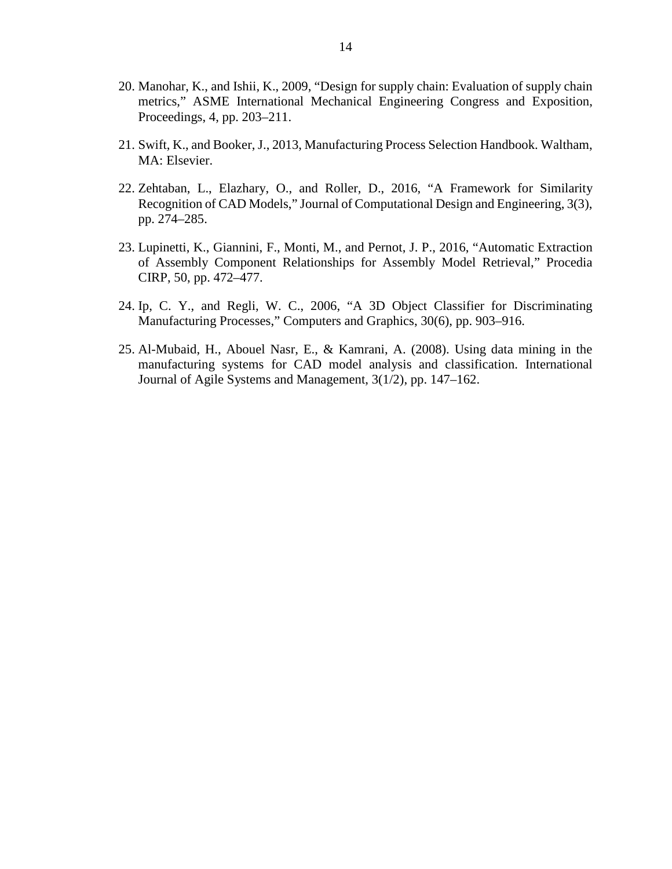- <span id="page-17-0"></span>20. Manohar, K., and Ishii, K., 2009, "Design for supply chain: Evaluation of supply chain metrics," ASME International Mechanical Engineering Congress and Exposition, Proceedings, 4, pp. 203–211.
- <span id="page-17-1"></span>21. Swift, K., and Booker, J., 2013, Manufacturing Process Selection Handbook. Waltham, MA: Elsevier.
- <span id="page-17-2"></span>22. Zehtaban, L., Elazhary, O., and Roller, D., 2016, "A Framework for Similarity Recognition of CAD Models," Journal of Computational Design and Engineering, 3(3), pp. 274–285.
- <span id="page-17-3"></span>23. Lupinetti, K., Giannini, F., Monti, M., and Pernot, J. P., 2016, "Automatic Extraction of Assembly Component Relationships for Assembly Model Retrieval," Procedia CIRP, 50, pp. 472–477.
- <span id="page-17-4"></span>24. Ip, C. Y., and Regli, W. C., 2006, "A 3D Object Classifier for Discriminating Manufacturing Processes," Computers and Graphics, 30(6), pp. 903–916.
- <span id="page-17-5"></span>25. Al-Mubaid, H., Abouel Nasr, E., & Kamrani, A. (2008). Using data mining in the manufacturing systems for CAD model analysis and classification. International Journal of Agile Systems and Management, 3(1/2), pp. 147–162.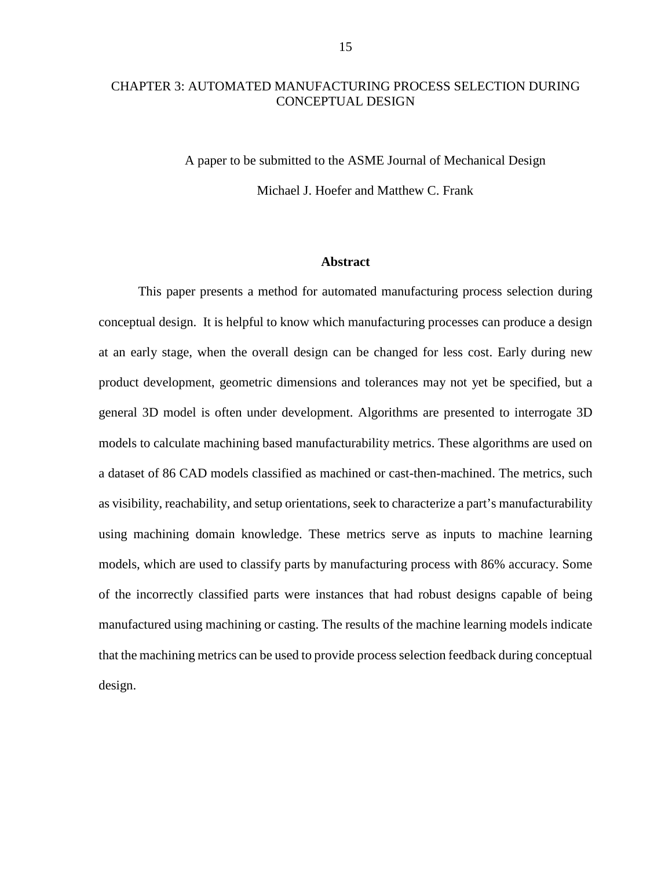# <span id="page-18-0"></span>CHAPTER 3: AUTOMATED MANUFACTURING PROCESS SELECTION DURING CONCEPTUAL DESIGN

A paper to be submitted to the ASME Journal of Mechanical Design Michael J. Hoefer and Matthew C. Frank

#### **Abstract**

<span id="page-18-1"></span>This paper presents a method for automated manufacturing process selection during conceptual design. It is helpful to know which manufacturing processes can produce a design at an early stage, when the overall design can be changed for less cost. Early during new product development, geometric dimensions and tolerances may not yet be specified, but a general 3D model is often under development. Algorithms are presented to interrogate 3D models to calculate machining based manufacturability metrics. These algorithms are used on a dataset of 86 CAD models classified as machined or cast-then-machined. The metrics, such as visibility, reachability, and setup orientations, seek to characterize a part's manufacturability using machining domain knowledge. These metrics serve as inputs to machine learning models, which are used to classify parts by manufacturing process with 86% accuracy. Some of the incorrectly classified parts were instances that had robust designs capable of being manufactured using machining or casting. The results of the machine learning models indicate that the machining metrics can be used to provide process selection feedback during conceptual design.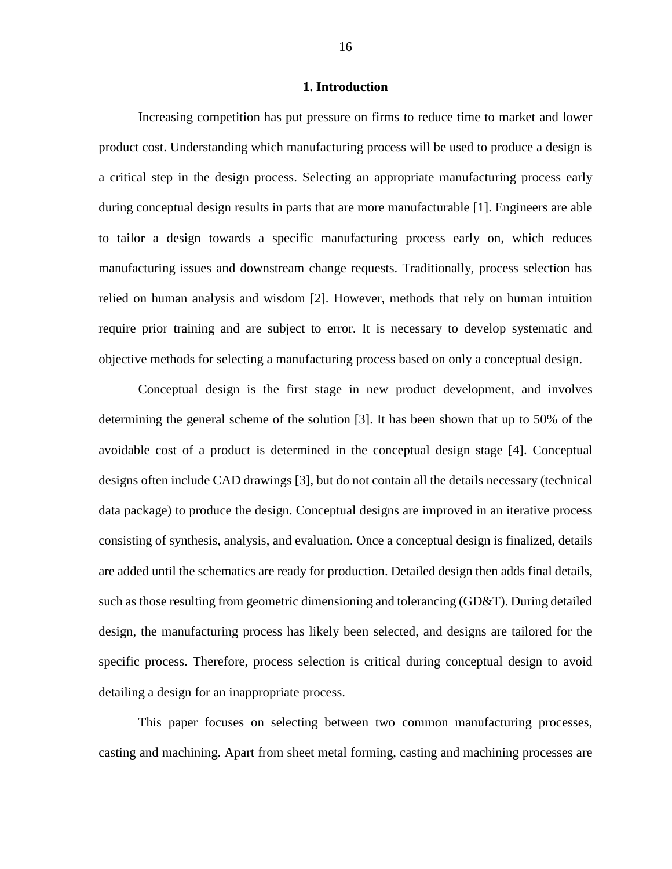#### **1. Introduction**

<span id="page-19-0"></span>Increasing competition has put pressure on firms to reduce time to market and lower product cost. Understanding which manufacturing process will be used to produce a design is a critical step in the design process. Selecting an appropriate manufacturing process early during conceptual design results in parts that are more manufacturable [\[1\]](#page-49-1). Engineers are able to tailor a design towards a specific manufacturing process early on, which reduces manufacturing issues and downstream change requests. Traditionally, process selection has relied on human analysis and wisdom [\[2\]](#page-49-2). However, methods that rely on human intuition require prior training and are subject to error. It is necessary to develop systematic and objective methods for selecting a manufacturing process based on only a conceptual design.

Conceptual design is the first stage in new product development, and involves determining the general scheme of the solution [\[3\]](#page-49-3). It has been shown that up to 50% of the avoidable cost of a product is determined in the conceptual design stage [\[4\]](#page-49-4). Conceptual designs often include CAD drawings [\[3\]](#page-49-3), but do not contain all the details necessary (technical data package) to produce the design. Conceptual designs are improved in an iterative process consisting of synthesis, analysis, and evaluation. Once a conceptual design is finalized, details are added until the schematics are ready for production. Detailed design then adds final details, such as those resulting from geometric dimensioning and tolerancing (GD&T). During detailed design, the manufacturing process has likely been selected, and designs are tailored for the specific process. Therefore, process selection is critical during conceptual design to avoid detailing a design for an inappropriate process.

This paper focuses on selecting between two common manufacturing processes, casting and machining. Apart from sheet metal forming, casting and machining processes are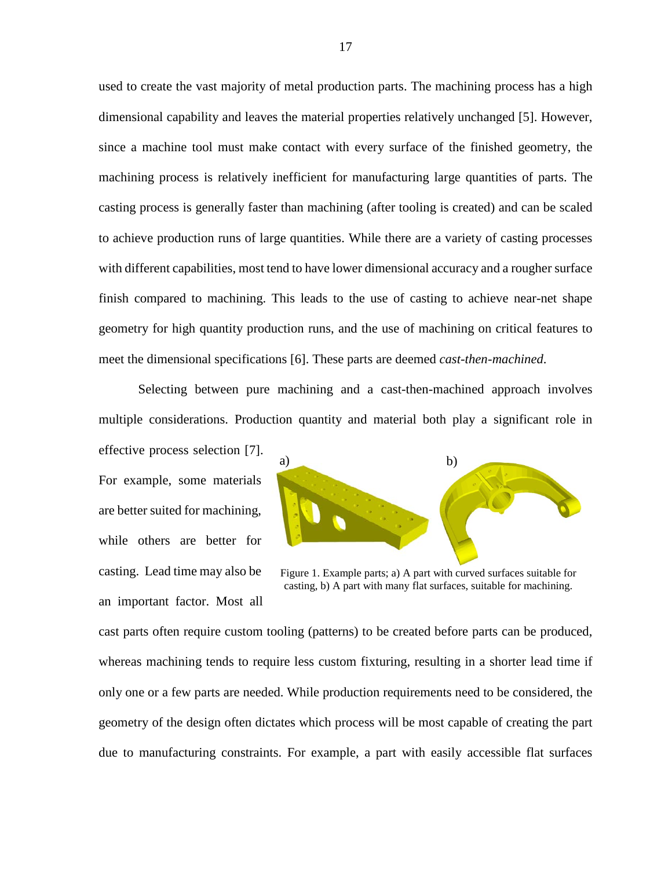used to create the vast majority of metal production parts. The machining process has a high dimensional capability and leaves the material properties relatively unchanged [\[5\]](#page-49-5). However, since a machine tool must make contact with every surface of the finished geometry, the machining process is relatively inefficient for manufacturing large quantities of parts. The casting process is generally faster than machining (after tooling is created) and can be scaled to achieve production runs of large quantities. While there are a variety of casting processes with different capabilities, most tend to have lower dimensional accuracy and a rougher surface finish compared to machining. This leads to the use of casting to achieve near-net shape geometry for high quantity production runs, and the use of machining on critical features to meet the dimensional specifications [\[6\]](#page-49-6). These parts are deemed *cast-then-machined*.

Selecting between pure machining and a cast-then-machined approach involves multiple considerations. Production quantity and material both play a significant role in

effective process selection [\[7\]](#page-49-7). For example, some materials are better suited for machining, while others are better for casting. Lead time may also be an important factor. Most all



Figure 1. Example parts; a) A part with curved surfaces suitable for casting, b) A part with many flat surfaces, suitable for machining.

cast parts often require custom tooling (patterns) to be created before parts can be produced, whereas machining tends to require less custom fixturing, resulting in a shorter lead time if only one or a few parts are needed. While production requirements need to be considered, the geometry of the design often dictates which process will be most capable of creating the part due to manufacturing constraints. For example, a part with easily accessible flat surfaces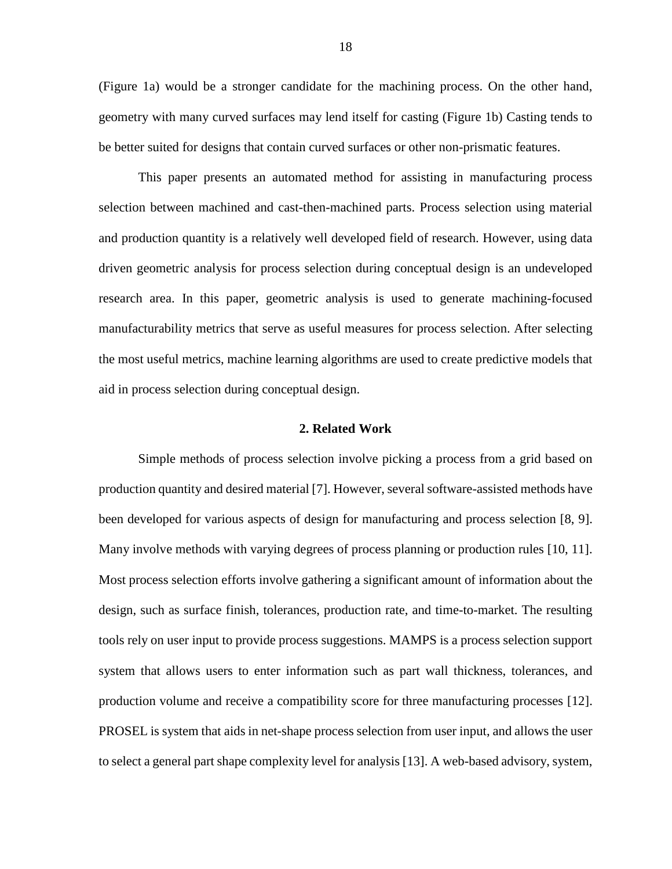(Figure 1a) would be a stronger candidate for the machining process. On the other hand, geometry with many curved surfaces may lend itself for casting (Figure 1b) Casting tends to be better suited for designs that contain curved surfaces or other non-prismatic features.

This paper presents an automated method for assisting in manufacturing process selection between machined and cast-then-machined parts. Process selection using material and production quantity is a relatively well developed field of research. However, using data driven geometric analysis for process selection during conceptual design is an undeveloped research area. In this paper, geometric analysis is used to generate machining-focused manufacturability metrics that serve as useful measures for process selection. After selecting the most useful metrics, machine learning algorithms are used to create predictive models that aid in process selection during conceptual design.

#### **2. Related Work**

<span id="page-21-0"></span>Simple methods of process selection involve picking a process from a grid based on production quantity and desired material [\[7\]](#page-49-7). However, several software-assisted methods have been developed for various aspects of design for manufacturing and process selection [\[8,](#page-49-8) [9\]](#page-49-9). Many involve methods with varying degrees of process planning or production rules [\[10,](#page-49-10) [11\]](#page-49-11). Most process selection efforts involve gathering a significant amount of information about the design, such as surface finish, tolerances, production rate, and time-to-market. The resulting tools rely on user input to provide process suggestions. MAMPS is a process selection support system that allows users to enter information such as part wall thickness, tolerances, and production volume and receive a compatibility score for three manufacturing processes [\[12\]](#page-49-12). PROSEL is system that aids in net-shape process selection from user input, and allows the user to select a general part shape complexity level for analysis [\[13\]](#page-49-13). A web-based advisory, system,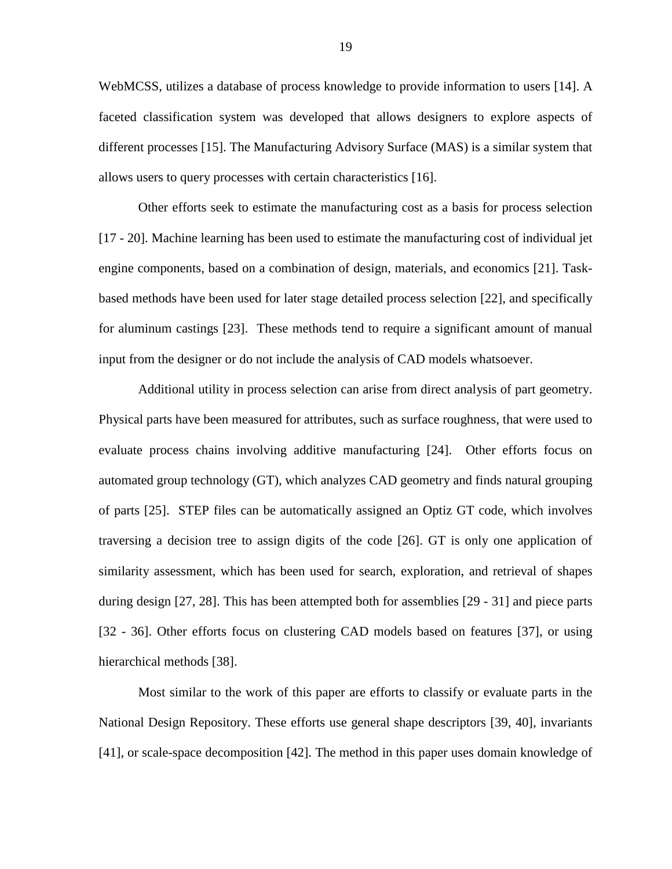WebMCSS, utilizes a database of process knowledge to provide information to users [\[14\]](#page-50-0). A faceted classification system was developed that allows designers to explore aspects of different processes [\[15\]](#page-50-1). The Manufacturing Advisory Surface (MAS) is a similar system that allows users to query processes with certain characteristics [\[16\]](#page-50-2).

Other efforts seek to estimate the manufacturing cost as a basis for process selection [\[17](#page-50-3) - [20\]](#page-50-4). Machine learning has been used to estimate the manufacturing cost of individual jet engine components, based on a combination of design, materials, and economics [\[21\]](#page-50-5). Taskbased methods have been used for later stage detailed process selection [\[22\]](#page-50-6), and specifically for aluminum castings [\[23\]](#page-50-7). These methods tend to require a significant amount of manual input from the designer or do not include the analysis of CAD models whatsoever.

Additional utility in process selection can arise from direct analysis of part geometry. Physical parts have been measured for attributes, such as surface roughness, that were used to evaluate process chains involving additive manufacturing [\[24\]](#page-50-8). Other efforts focus on automated group technology (GT), which analyzes CAD geometry and finds natural grouping of parts [\[25\]](#page-50-9). STEP files can be automatically assigned an Optiz GT code, which involves traversing a decision tree to assign digits of the code [\[26\]](#page-50-10). GT is only one application of similarity assessment, which has been used for search, exploration, and retrieval of shapes during design [\[27,](#page-51-0) [28\]](#page-51-1). This has been attempted both for assemblies [\[29](#page-51-2) - [31\]](#page-51-3) and piece parts [\[32](#page-51-4) - [36\]](#page-51-5). Other efforts focus on clustering CAD models based on features [\[37\]](#page-51-6), or using hierarchical methods [\[38\]](#page-51-7).

Most similar to the work of this paper are efforts to classify or evaluate parts in the National Design Repository. These efforts use general shape descriptors [\[39,](#page-51-8) [40\]](#page-52-0), invariants [\[41\]](#page-52-1), or scale-space decomposition [\[42\]](#page-52-2). The method in this paper uses domain knowledge of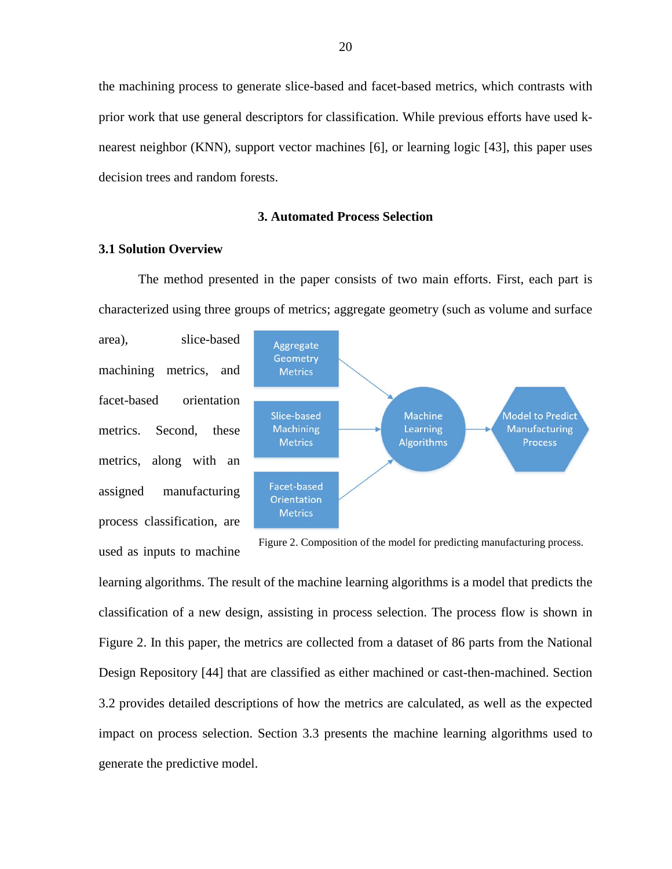the machining process to generate slice-based and facet-based metrics, which contrasts with prior work that use general descriptors for classification. While previous efforts have used knearest neighbor (KNN), support vector machines [\[6\]](#page-49-6), or learning logic [\[43\]](#page-52-3), this paper uses decision trees and random forests.

### **3. Automated Process Selection**

#### <span id="page-23-1"></span><span id="page-23-0"></span>**3.1 Solution Overview**

The method presented in the paper consists of two main efforts. First, each part is characterized using three groups of metrics; aggregate geometry (such as volume and surface

area), slice-based machining metrics, and facet-based orientation metrics. Second, these metrics, along with an assigned manufacturing process classification, are used as inputs to machine



Figure 2. Composition of the model for predicting manufacturing process.

learning algorithms. The result of the machine learning algorithms is a model that predicts the classification of a new design, assisting in process selection. The process flow is shown in Figure 2. In this paper, the metrics are collected from a dataset of 86 parts from the National Design Repository [\[44\]](#page-52-4) that are classified as either machined or cast-then-machined. Section 3.2 provides detailed descriptions of how the metrics are calculated, as well as the expected impact on process selection. Section 3.3 presents the machine learning algorithms used to generate the predictive model.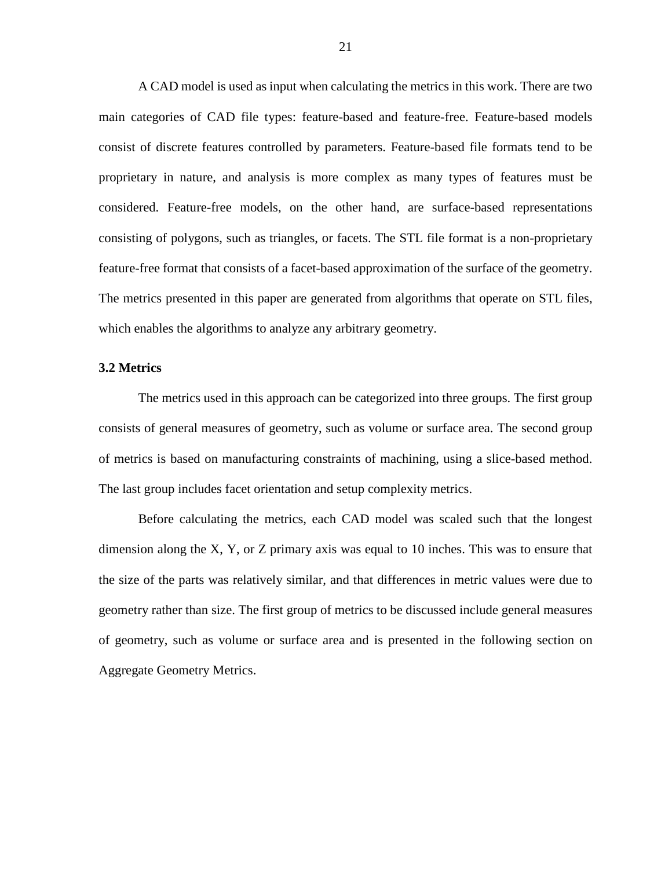A CAD model is used as input when calculating the metrics in this work. There are two main categories of CAD file types: feature-based and feature-free. Feature-based models consist of discrete features controlled by parameters. Feature-based file formats tend to be proprietary in nature, and analysis is more complex as many types of features must be considered. Feature-free models, on the other hand, are surface-based representations consisting of polygons, such as triangles, or facets. The STL file format is a non-proprietary feature-free format that consists of a facet-based approximation of the surface of the geometry. The metrics presented in this paper are generated from algorithms that operate on STL files, which enables the algorithms to analyze any arbitrary geometry.

#### <span id="page-24-0"></span>**3.2 Metrics**

The metrics used in this approach can be categorized into three groups. The first group consists of general measures of geometry, such as volume or surface area. The second group of metrics is based on manufacturing constraints of machining, using a slice-based method. The last group includes facet orientation and setup complexity metrics.

Before calculating the metrics, each CAD model was scaled such that the longest dimension along the X, Y, or Z primary axis was equal to 10 inches. This was to ensure that the size of the parts was relatively similar, and that differences in metric values were due to geometry rather than size. The first group of metrics to be discussed include general measures of geometry, such as volume or surface area and is presented in the following section on Aggregate Geometry Metrics.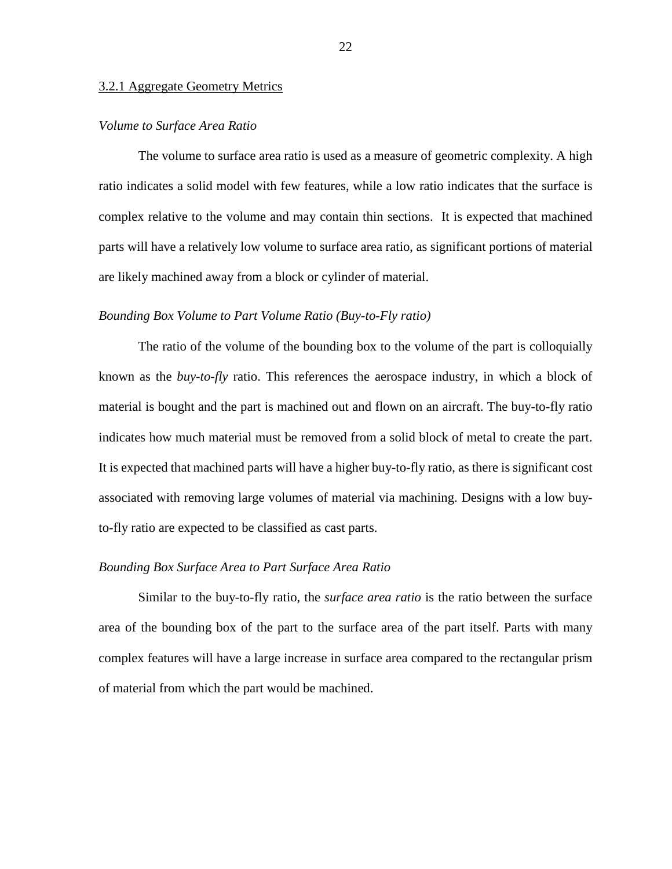#### 3.2.1 Aggregate Geometry Metrics

#### *Volume to Surface Area Ratio*

The volume to surface area ratio is used as a measure of geometric complexity. A high ratio indicates a solid model with few features, while a low ratio indicates that the surface is complex relative to the volume and may contain thin sections. It is expected that machined parts will have a relatively low volume to surface area ratio, as significant portions of material are likely machined away from a block or cylinder of material.

#### *Bounding Box Volume to Part Volume Ratio (Buy-to-Fly ratio)*

The ratio of the volume of the bounding box to the volume of the part is colloquially known as the *buy-to-fly* ratio. This references the aerospace industry, in which a block of material is bought and the part is machined out and flown on an aircraft. The buy-to-fly ratio indicates how much material must be removed from a solid block of metal to create the part. It is expected that machined parts will have a higher buy-to-fly ratio, as there is significant cost associated with removing large volumes of material via machining. Designs with a low buyto-fly ratio are expected to be classified as cast parts.

#### *Bounding Box Surface Area to Part Surface Area Ratio*

Similar to the buy-to-fly ratio, the *surface area ratio* is the ratio between the surface area of the bounding box of the part to the surface area of the part itself. Parts with many complex features will have a large increase in surface area compared to the rectangular prism of material from which the part would be machined.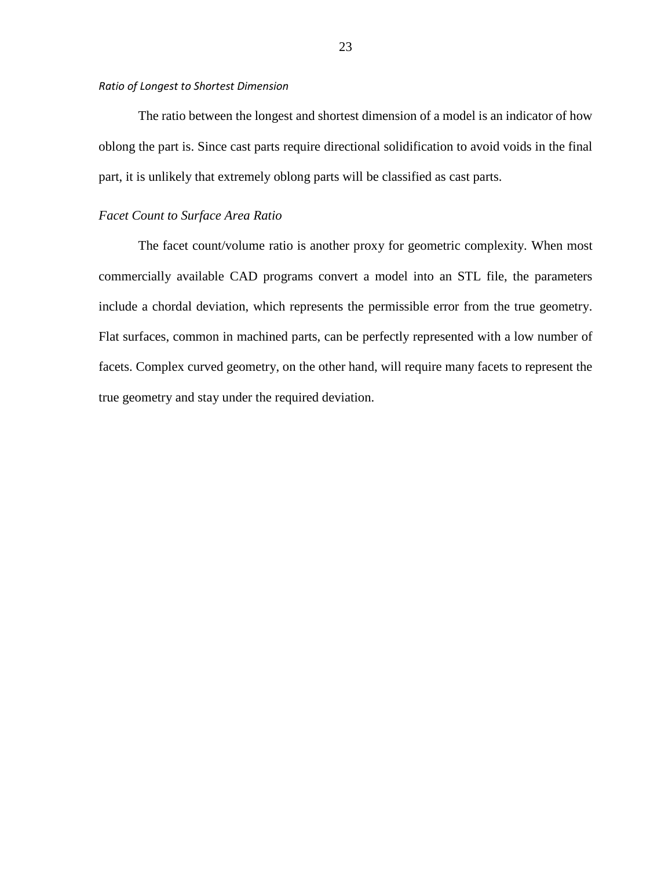#### *Ratio of Longest to Shortest Dimension*

The ratio between the longest and shortest dimension of a model is an indicator of how oblong the part is. Since cast parts require directional solidification to avoid voids in the final part, it is unlikely that extremely oblong parts will be classified as cast parts.

#### *Facet Count to Surface Area Ratio*

The facet count/volume ratio is another proxy for geometric complexity. When most commercially available CAD programs convert a model into an STL file, the parameters include a chordal deviation, which represents the permissible error from the true geometry. Flat surfaces, common in machined parts, can be perfectly represented with a low number of facets. Complex curved geometry, on the other hand, will require many facets to represent the true geometry and stay under the required deviation.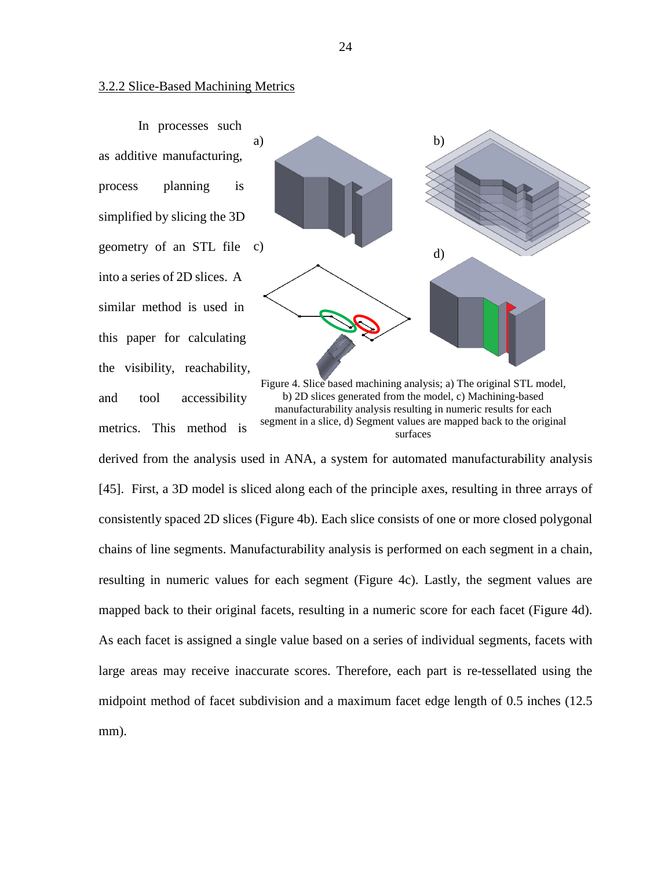#### 3.2.2 Slice-Based Machining Metrics

In processes such as additive manufacturing, process planning is simplified by slicing the 3D geometry of an STL file c) into a series of 2D slices. A similar method is used in this paper for calculating the visibility, reachability, and tool accessibility metrics. This method is



Figure 4. Slice based machining analysis; a) The original STL model, b) 2D slices generated from the model, c) Machining-based manufacturability analysis resulting in numeric results for each segment in a slice, d) Segment values are mapped back to the original surfaces

derived from the analysis used in ANA, a system for automated manufacturability analysis [\[45\]](#page-52-5). First, a 3D model is sliced along each of the principle axes, resulting in three arrays of consistently spaced 2D slices (Figure 4b). Each slice consists of one or more closed polygonal chains of line segments. Manufacturability analysis is performed on each segment in a chain, resulting in numeric values for each segment (Figure 4c). Lastly, the segment values are mapped back to their original facets, resulting in a numeric score for each facet (Figure 4d). As each facet is assigned a single value based on a series of individual segments, facets with large areas may receive inaccurate scores. Therefore, each part is re-tessellated using the midpoint method of facet subdivision and a maximum facet edge length of 0.5 inches (12.5 mm).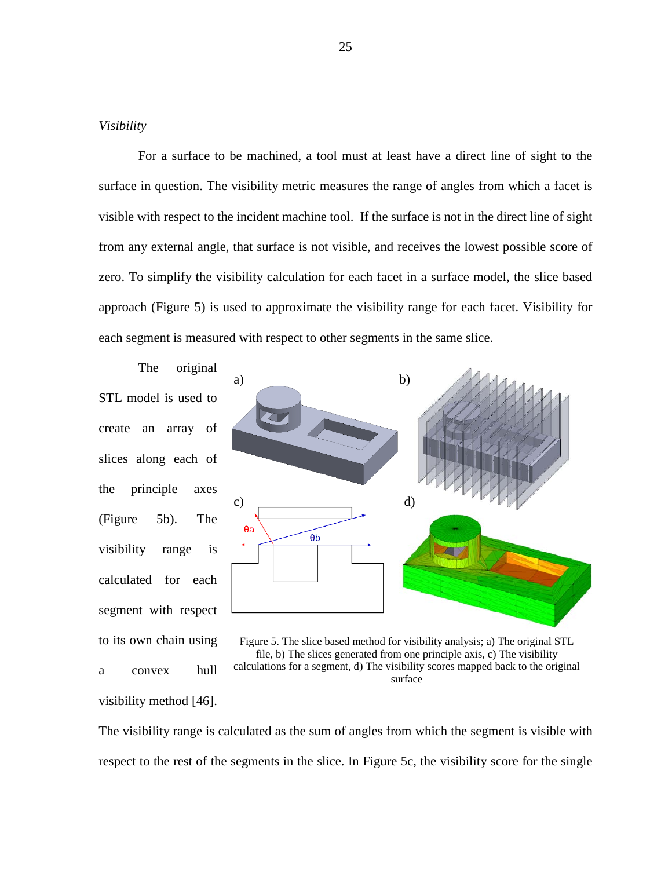#### *Visibility*

For a surface to be machined, a tool must at least have a direct line of sight to the surface in question. The visibility metric measures the range of angles from which a facet is visible with respect to the incident machine tool. If the surface is not in the direct line of sight from any external angle, that surface is not visible, and receives the lowest possible score of zero. To simplify the visibility calculation for each facet in a surface model, the slice based approach (Figure 5) is used to approximate the visibility range for each facet. Visibility for each segment is measured with respect to other segments in the same slice.

The original STL model is used to create an array of slices along each of the principle axes (Figure 5b). The visibility range is calculated for each segment with respect to its own chain using a convex hull visibility method [\[46\]](#page-52-6).



Figure 5. The slice based method for visibility analysis; a) The original STL file, b) The slices generated from one principle axis, c) The visibility calculations for a segment, d) The visibility scores mapped back to the original surface

The visibility range is calculated as the sum of angles from which the segment is visible with respect to the rest of the segments in the slice. In Figure 5c, the visibility score for the single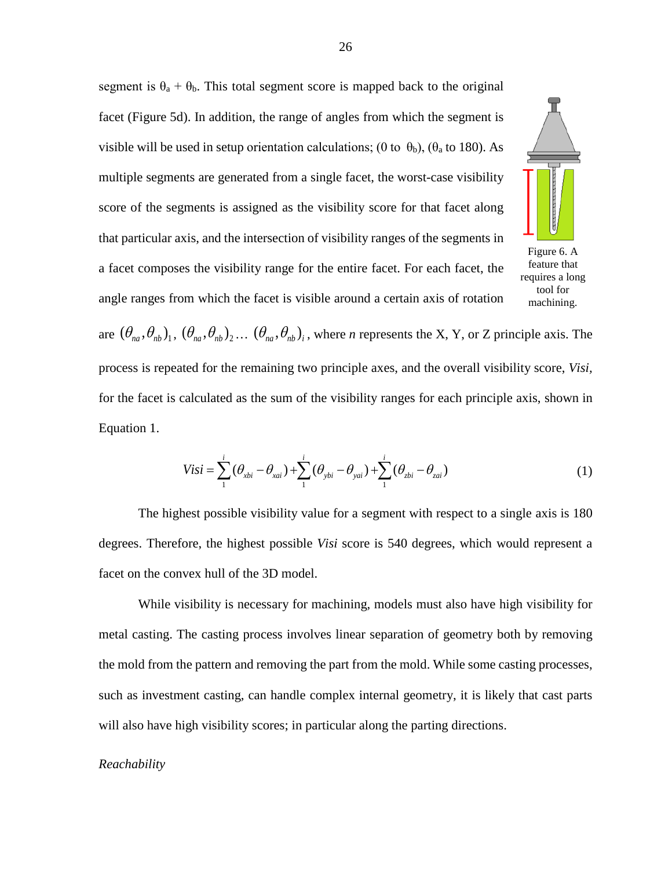segment is  $\theta_a + \theta_b$ . This total segment score is mapped back to the original facet (Figure 5d). In addition, the range of angles from which the segment is visible will be used in setup orientation calculations; (0 to  $\theta_b$ ), ( $\theta_a$  to 180). As multiple segments are generated from a single facet, the worst-case visibility score of the segments is assigned as the visibility score for that facet along that particular axis, and the intersection of visibility ranges of the segments in a facet composes the visibility range for the entire facet. For each facet, the angle ranges from which the facet is visible around a certain axis of rotation



Figure 6. A feature that requires a long tool for machining.

are  $(\theta_{na}, \theta_{nb})_1$ ,  $(\theta_{na}, \theta_{nb})_2$ ...  $(\theta_{na}, \theta_{nb})_i$ , where *n* represents the X, Y, or Z principle axis. The process is repeated for the remaining two principle axes, and the overall visibility score, *Visi,* for the facet is calculated as the sum of the visibility ranges for each principle axis, shown in Equation 1.

$$
Visi = \sum_{1}^{i} (\theta_{xbi} - \theta_{xai}) + \sum_{1}^{i} (\theta_{ybi} - \theta_{yai}) + \sum_{1}^{i} (\theta_{zbi} - \theta_{zai})
$$
 (1)

The highest possible visibility value for a segment with respect to a single axis is 180 degrees. Therefore, the highest possible *Visi* score is 540 degrees, which would represent a facet on the convex hull of the 3D model.

While visibility is necessary for machining, models must also have high visibility for metal casting. The casting process involves linear separation of geometry both by removing the mold from the pattern and removing the part from the mold. While some casting processes, such as investment casting, can handle complex internal geometry, it is likely that cast parts will also have high visibility scores; in particular along the parting directions.

#### *Reachability*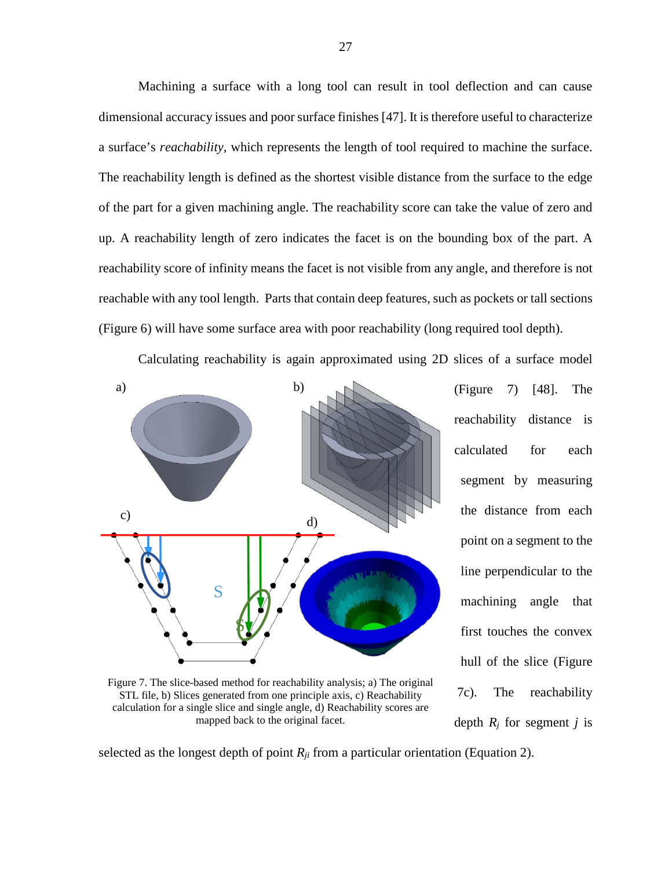Machining a surface with a long tool can result in tool deflection and can cause dimensional accuracy issues and poor surface finishes [\[47\]](#page-52-7). It is therefore useful to characterize a surface's *reachability,* which represents the length of tool required to machine the surface. The reachability length is defined as the shortest visible distance from the surface to the edge of the part for a given machining angle. The reachability score can take the value of zero and up. A reachability length of zero indicates the facet is on the bounding box of the part. A reachability score of infinity means the facet is not visible from any angle, and therefore is not reachable with any tool length. Parts that contain deep features, such as pockets or tall sections (Figure 6) will have some surface area with poor reachability (long required tool depth).

Calculating reachability is again approximated using 2D slices of a surface model



Figure 7. The slice-based method for reachability analysis; a) The original STL file, b) Slices generated from one principle axis, c) Reachability calculation for a single slice and single angle, d) Reachability scores are mapped back to the original facet.

(Figure 7) [\[48\]](#page-52-8). The reachability distance is calculated for each segment by measuring the distance from each point on a segment to the line perpendicular to the machining angle that first touches the convex hull of the slice (Figure 7c). The reachability depth  $R_i$  for segment *j* is

selected as the longest depth of point  $R_{ij}$  from a particular orientation (Equation 2).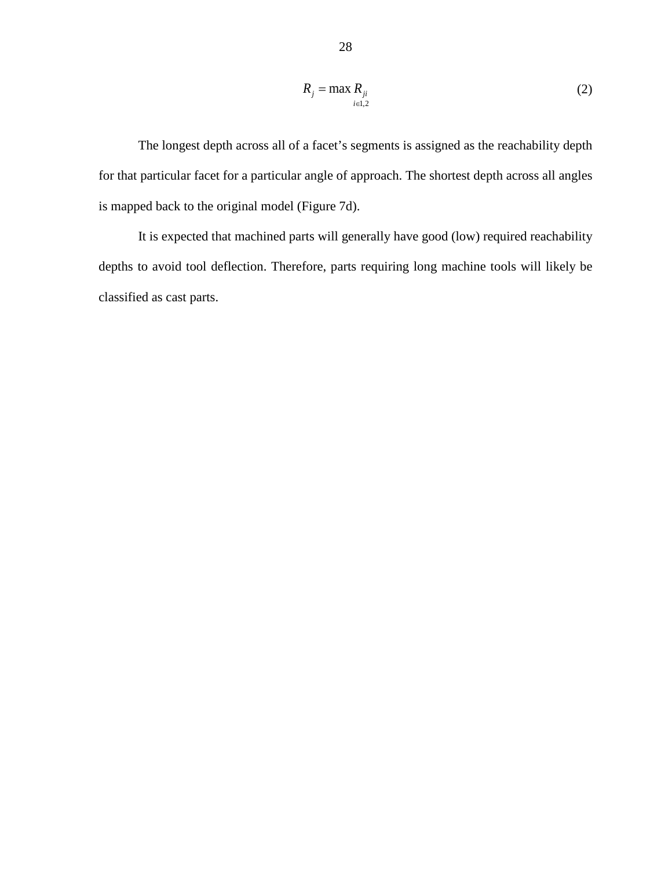$$
R_j = \max_{i \in I, 2} R_{ji} \tag{2}
$$

The longest depth across all of a facet's segments is assigned as the reachability depth for that particular facet for a particular angle of approach. The shortest depth across all angles is mapped back to the original model (Figure 7d).

It is expected that machined parts will generally have good (low) required reachability depths to avoid tool deflection. Therefore, parts requiring long machine tools will likely be classified as cast parts.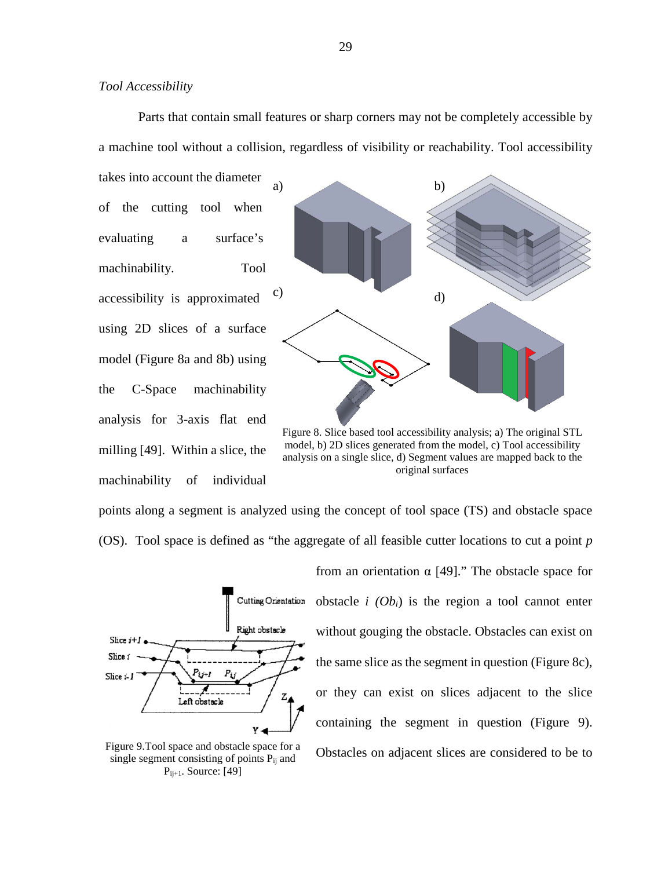Parts that contain small features or sharp corners may not be completely accessible by a machine tool without a collision, regardless of visibility or reachability. Tool accessibility

takes into account the diameter of the cutting tool when evaluating a surface's machinability. Tool accessibility is approximated using 2D slices of a surface model (Figure 8a and 8b) using the C-Space machinability analysis for 3-axis flat end milling [\[49\]](#page-52-9). Within a slice, the machinability of individual



Figure 8. Slice based tool accessibility analysis; a) The original STL model, b) 2D slices generated from the model, c) Tool accessibility analysis on a single slice, d) Segment values are mapped back to the original surfaces

points along a segment is analyzed using the concept of tool space (TS) and obstacle space (OS). Tool space is defined as "the aggregate of all feasible cutter locations to cut a point *p*



from an orientation  $\alpha$  [[49\]](#page-52-9)." The obstacle space for obstacle  $i$  (O $b_i$ ) is the region a tool cannot enter without gouging the obstacle. Obstacles can exist on the same slice as the segment in question (Figure 8c), or they can exist on slices adjacent to the slice containing the segment in question (Figure 9). Obstacles on adjacent slices are considered to be to

Figure 9.Tool space and obstacle space for a single segment consisting of points  $P_{ii}$  and  $P_{ij+1}$ . Source: [\[49\]](#page-52-9)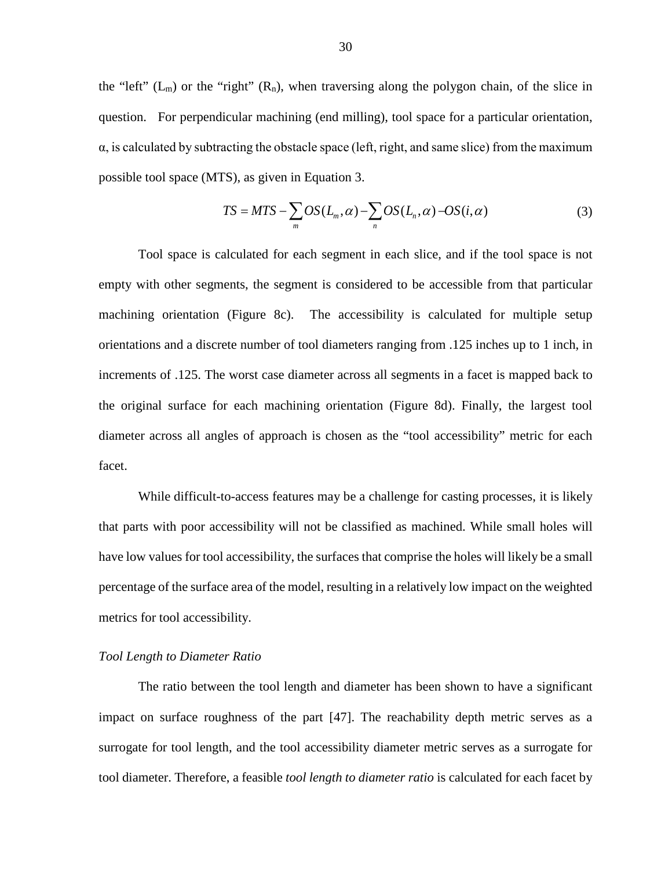the "left"  $(L_m)$  or the "right"  $(R_n)$ , when traversing along the polygon chain, of the slice in question. For perpendicular machining (end milling), tool space for a particular orientation,  $\alpha$ , is calculated by subtracting the obstacle space (left, right, and same slice) from the maximum possible tool space (MTS), as given in Equation 3.

$$
TS = MTS - \sum_{m} OS(L_m, \alpha) - \sum_{n} OS(L_n, \alpha) - OS(i, \alpha)
$$
\n(3)

Tool space is calculated for each segment in each slice, and if the tool space is not empty with other segments, the segment is considered to be accessible from that particular machining orientation (Figure 8c). The accessibility is calculated for multiple setup orientations and a discrete number of tool diameters ranging from .125 inches up to 1 inch, in increments of .125. The worst case diameter across all segments in a facet is mapped back to the original surface for each machining orientation (Figure 8d). Finally, the largest tool diameter across all angles of approach is chosen as the "tool accessibility" metric for each facet.

While difficult-to-access features may be a challenge for casting processes, it is likely that parts with poor accessibility will not be classified as machined. While small holes will have low values for tool accessibility, the surfaces that comprise the holes will likely be a small percentage of the surface area of the model, resulting in a relatively low impact on the weighted metrics for tool accessibility.

#### *Tool Length to Diameter Ratio*

The ratio between the tool length and diameter has been shown to have a significant impact on surface roughness of the part [\[47\]](#page-52-7). The reachability depth metric serves as a surrogate for tool length, and the tool accessibility diameter metric serves as a surrogate for tool diameter. Therefore, a feasible *tool length to diameter ratio* is calculated for each facet by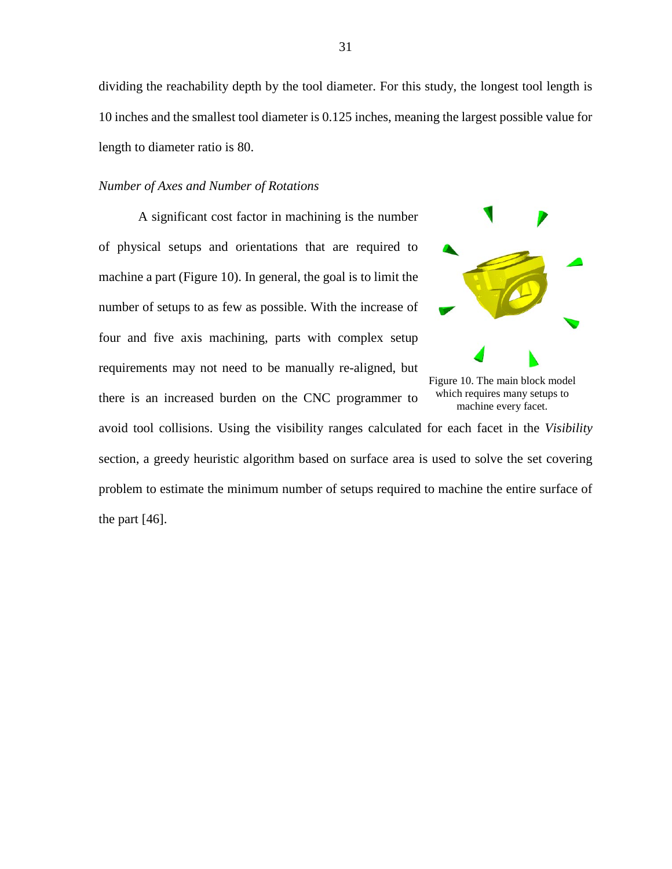dividing the reachability depth by the tool diameter. For this study, the longest tool length is 10 inches and the smallest tool diameter is 0.125 inches, meaning the largest possible value for length to diameter ratio is 80.

#### *Number of Axes and Number of Rotations*

A significant cost factor in machining is the number of physical setups and orientations that are required to machine a part (Figure 10). In general, the goal is to limit the number of setups to as few as possible. With the increase of four and five axis machining, parts with complex setup requirements may not need to be manually re-aligned, but there is an increased burden on the CNC programmer to



Figure 10. The main block model which requires many setups to machine every facet.

avoid tool collisions. Using the visibility ranges calculated for each facet in the *Visibility* section, a greedy heuristic algorithm based on surface area is used to solve the set covering problem to estimate the minimum number of setups required to machine the entire surface of the part  $[46]$ .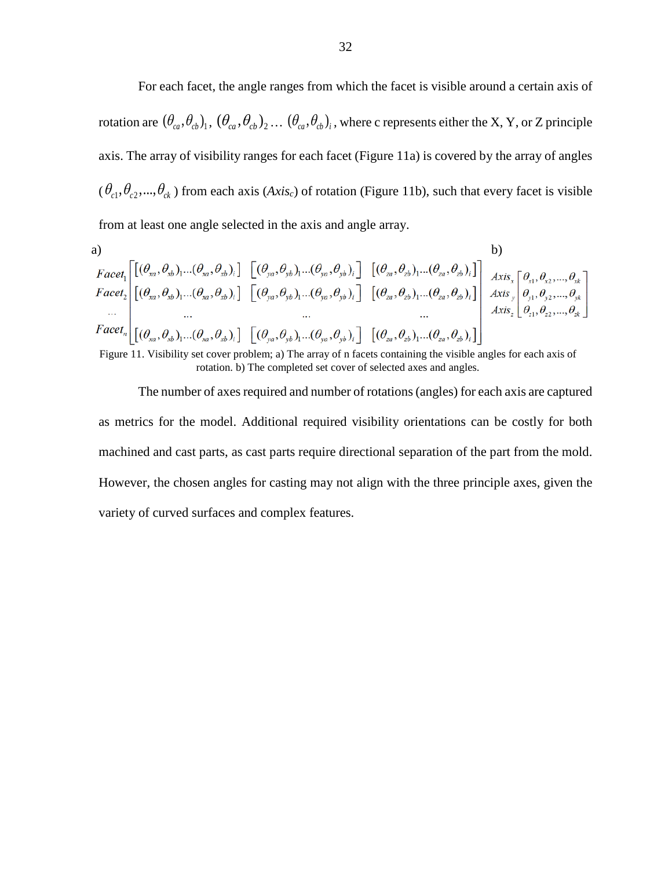For each facet, the angle ranges from which the facet is visible around a certain axis of rotation are  $(\theta_{ca}, \theta_{cb})_1$ ,  $(\theta_{ca}, \theta_{cb})_2$ ...  $(\theta_{ca}, \theta_{cb})_i$ , where c represents either the X, Y, or Z principle axis. The array of visibility ranges for each facet (Figure 11a) is covered by the array of angles  $(\theta_{c_1}, \theta_{c_2}, ..., \theta_{c_k})$  from each axis (*Axis<sub>c</sub>*) of rotation (Figure 11b), such that every facet is visible from at least one angle selected in the axis and angle array.

a)  
\n
$$
Facet_{1}\begin{bmatrix}\begin{bmatrix}\begin{bmatrix}\begin{bmatrix}\theta_{xa},\theta_{xb}\end{bmatrix}_{1}...\begin{bmatrix}\theta_{xa},\theta_{xb}\end{bmatrix}_{i}\end{bmatrix}\begin{bmatrix}\begin{bmatrix}\begin{bmatrix}\theta_{ya},\theta_{yb}\end{bmatrix}_{1}...\begin{bmatrix}\theta_{ya},\theta_{yb}\end{bmatrix}_{i}\end{bmatrix}\begin{bmatrix}\begin{bmatrix}\begin{bmatrix}\begin{bmatrix}\theta_{za},\theta_{zb}\end{bmatrix}_{1}...\begin{bmatrix}\theta_{za},\theta_{zb}\end{bmatrix}_{i}\end{bmatrix}\end{bmatrix}\begin{bmatrix}\begin{bmatrix}\begin{bmatrix}\begin{bmatrix}\begin{bmatrix}\begin{bmatrix}\theta_{xa},\theta_{xb}\end{bmatrix}_{1}...\begin{bmatrix}\begin{bmatrix}\theta_{xa},\theta_{xb}\end{bmatrix}_{i}\end{bmatrix}\end{bmatrix}\end{bmatrix}\begin{bmatrix}\begin{bmatrix}\begin{bmatrix}\begin{bmatrix}\begin{bmatrix}\begin{bmatrix}\end{bmatrix}\end{bmatrix}_{x}...\begin{bmatrix}\end{bmatrix}_{x}...\begin{bmatrix}\end{bmatrix}_{x}...\begin{bmatrix}\begin{bmatrix}\begin{bmatrix}\end{bmatrix}\end{bmatrix}_{x}...\begin{bmatrix}\begin{bmatrix}\begin{bmatrix}\end{bmatrix}\end{bmatrix}_{x}...\begin{bmatrix}\begin{bmatrix}\end{bmatrix}_{x}...\begin{bmatrix}\end{bmatrix}_{x}...\end{bmatrix}_{x}...\end{bmatrix}\end{bmatrix}\end{bmatrix}\begin{bmatrix}\begin{bmatrix}\begin{bmatrix}\begin{bmatrix}\begin{bmatrix}\end{bmatrix}\end{bmatrix}_{x}...\begin{bmatrix}\begin{bmatrix}\end{bmatrix}\end{bmatrix}_{x}...\begin{bmatrix}\begin{bmatrix}\end{bmatrix}\end{bmatrix}_{x}...\begin{bmatrix}\begin{bmatrix}\begin{bmatrix}\end{bmatrix}\end{bmatrix}_{x}...\begin{bmatrix}\begin{bmatrix}\end{bmatrix}\end{bmatrix}_{x}...\begin{bmatrix}\begin{bmatrix}\end{bmatrix}_{x}...\begin{bmatrix}\end{bmatrix}_{x}...\begin{bmatrix}\end{bmatrix}_{x}...\begin{bmatrix}\end{bmatrix}_{x}...\begin{bmatrix}\end{bmatrix}_{x}...\begin{bmatrix}\end{bmatrix}_{x}...\begin{bmatrix}\end{bmatrix}_{x}...\begin{bmatrix}\end{bmatrix}_{x}...\begin{bmatrix}\end{bmatrix}_{x}...\begin{bmatrix}\end{bmatrix}_{x}...\begin{bmatrix}\end{bmatrix}_{x}...\begin{bmatrix}\end{bmatrix
$$

Figure 11. Visibility set cover problem; a) The array of n facets containing the visible angles for each axis of rotation. b) The completed set cover of selected axes and angles.

The number of axes required and number of rotations (angles) for each axis are captured as metrics for the model. Additional required visibility orientations can be costly for both machined and cast parts, as cast parts require directional separation of the part from the mold. However, the chosen angles for casting may not align with the three principle axes, given the variety of curved surfaces and complex features.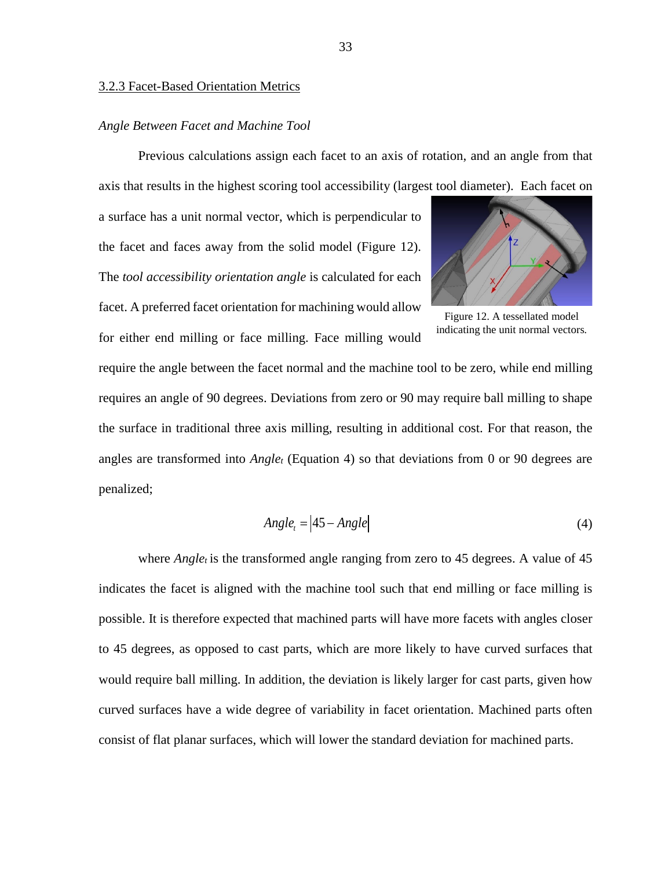#### *Angle Between Facet and Machine Tool*

Previous calculations assign each facet to an axis of rotation, and an angle from that axis that results in the highest scoring tool accessibility (largest tool diameter). Each facet on

a surface has a unit normal vector, which is perpendicular to the facet and faces away from the solid model (Figure 12). The *tool accessibility orientation angle* is calculated for each facet. A preferred facet orientation for machining would allow for either end milling or face milling. Face milling would



Figure 12. A tessellated model indicating the unit normal vectors*.*

require the angle between the facet normal and the machine tool to be zero, while end milling requires an angle of 90 degrees. Deviations from zero or 90 may require ball milling to shape the surface in traditional three axis milling, resulting in additional cost. For that reason, the angles are transformed into *Angle<sub>t</sub>* (Equation 4) so that deviations from 0 or 90 degrees are penalized;

$$
Angle_t = |45 - Angle| \tag{4}
$$

where  $Angle<sub>t</sub>$  is the transformed angle ranging from zero to 45 degrees. A value of 45 indicates the facet is aligned with the machine tool such that end milling or face milling is possible. It is therefore expected that machined parts will have more facets with angles closer to 45 degrees, as opposed to cast parts, which are more likely to have curved surfaces that would require ball milling. In addition, the deviation is likely larger for cast parts, given how curved surfaces have a wide degree of variability in facet orientation. Machined parts often consist of flat planar surfaces, which will lower the standard deviation for machined parts.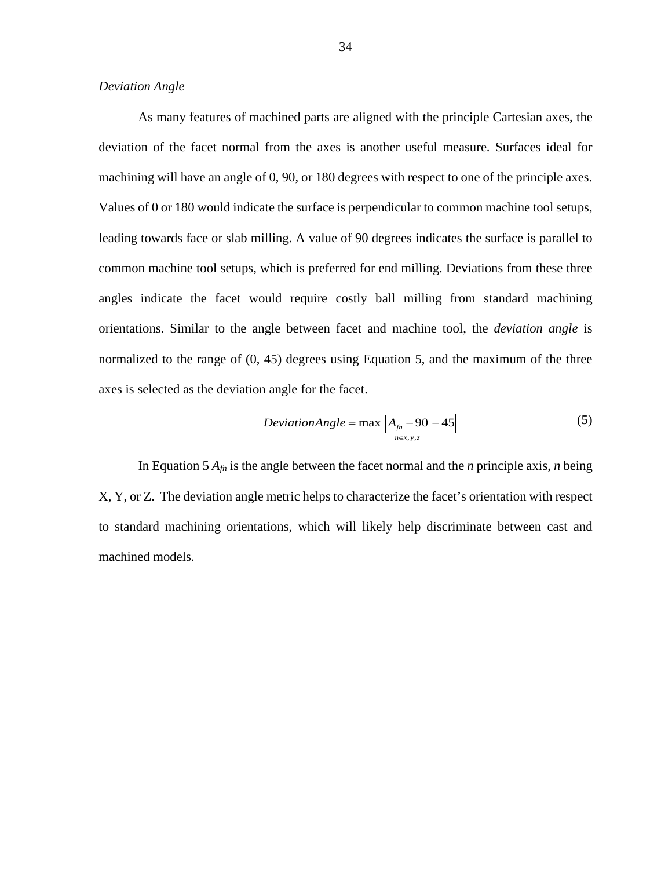#### *Deviation Angle*

As many features of machined parts are aligned with the principle Cartesian axes, the deviation of the facet normal from the axes is another useful measure. Surfaces ideal for machining will have an angle of 0, 90, or 180 degrees with respect to one of the principle axes. Values of 0 or 180 would indicate the surface is perpendicular to common machine tool setups, leading towards face or slab milling. A value of 90 degrees indicates the surface is parallel to common machine tool setups, which is preferred for end milling. Deviations from these three angles indicate the facet would require costly ball milling from standard machining orientations. Similar to the angle between facet and machine tool, the *deviation angle* is normalized to the range of  $(0, 45)$  degrees using Equation 5, and the maximum of the three axes is selected as the deviation angle for the facet.

$$
DeviationAngle = \max \left| A_{\hat{p}_1} - 90 \right| - 45 \right| \tag{5}
$$

In Equation 5 *Afn* is the angle between the facet normal and the *n* principle axis, *n* being X, Y, or Z. The deviation angle metric helps to characterize the facet's orientation with respect to standard machining orientations, which will likely help discriminate between cast and machined models.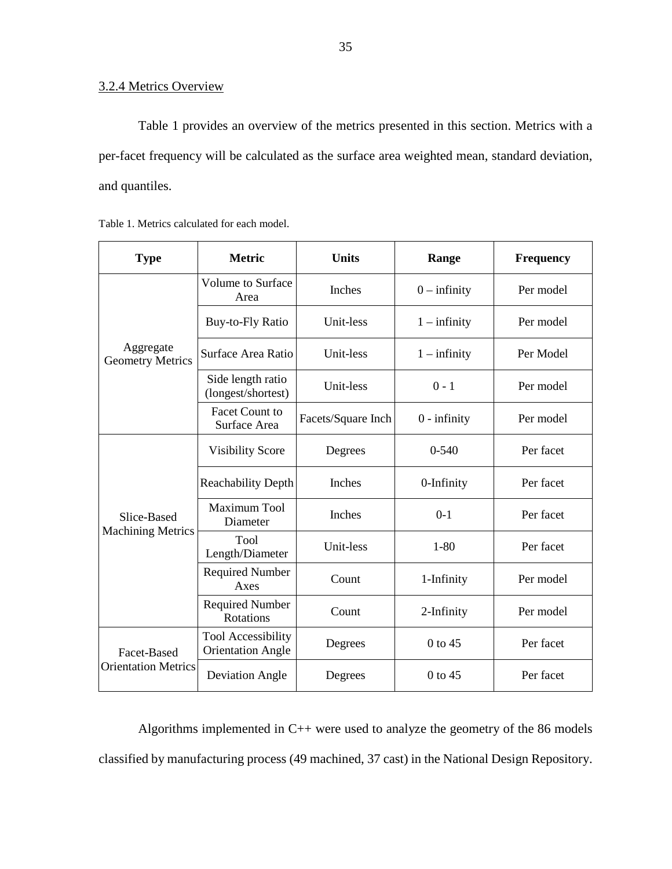# 3.2.4 Metrics Overview

Table 1 provides an overview of the metrics presented in this section. Metrics with a per-facet frequency will be calculated as the surface area weighted mean, standard deviation, and quantiles.

|  |  | Table 1. Metrics calculated for each model. |  |  |
|--|--|---------------------------------------------|--|--|
|--|--|---------------------------------------------|--|--|

| <b>Type</b>                               | <b>Metric</b>                                         | <b>Units</b>       | Range          | <b>Frequency</b> |
|-------------------------------------------|-------------------------------------------------------|--------------------|----------------|------------------|
| Aggregate<br><b>Geometry Metrics</b>      | <b>Volume to Surface</b><br>Area                      | Inches             | $0$ – infinity | Per model        |
|                                           | <b>Buy-to-Fly Ratio</b>                               | Unit-less          | $1 -$ infinity | Per model        |
|                                           | Surface Area Ratio                                    | Unit-less          | $1 -$ infinity | Per Model        |
|                                           | Side length ratio<br>(longest/shortest)               | Unit-less          | $0 - 1$        | Per model        |
|                                           | <b>Facet Count to</b><br>Surface Area                 | Facets/Square Inch | $0$ - infinity | Per model        |
| Slice-Based<br><b>Machining Metrics</b>   | <b>Visibility Score</b>                               | Degrees            | $0 - 540$      | Per facet        |
|                                           | <b>Reachability Depth</b>                             | Inches             | 0-Infinity     | Per facet        |
|                                           | Maximum Tool<br>Diameter                              | Inches             | $0-1$          | Per facet        |
|                                           | Tool<br>Length/Diameter                               | Unit-less          | $1 - 80$       | Per facet        |
|                                           | <b>Required Number</b><br>Axes                        | Count              | 1-Infinity     | Per model        |
|                                           | <b>Required Number</b><br>Rotations                   | Count              | 2-Infinity     | Per model        |
| Facet-Based<br><b>Orientation Metrics</b> | <b>Tool Accessibility</b><br><b>Orientation Angle</b> | Degrees            | $0$ to 45      | Per facet        |
|                                           | <b>Deviation Angle</b>                                | Degrees            | 0 to 45        | Per facet        |

Algorithms implemented in C++ were used to analyze the geometry of the 86 models classified by manufacturing process (49 machined, 37 cast) in the National Design Repository.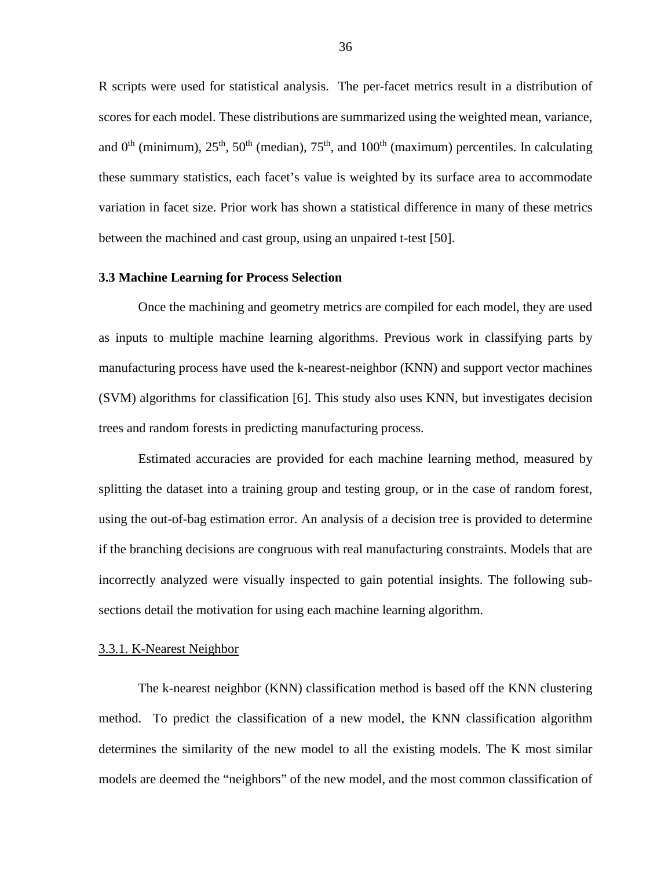R scripts were used for statistical analysis. The per-facet metrics result in a distribution of scores for each model. These distributions are summarized using the weighted mean, variance, and  $0<sup>th</sup>$  (minimum),  $25<sup>th</sup>$ ,  $50<sup>th</sup>$  (median),  $75<sup>th</sup>$ , and  $100<sup>th</sup>$  (maximum) percentiles. In calculating these summary statistics, each facet's value is weighted by its surface area to accommodate variation in facet size. Prior work has shown a statistical difference in many of these metrics between the machined and cast group, using an unpaired t-test [\[50\]](#page-52-10).

#### <span id="page-39-0"></span>**3.3 Machine Learning for Process Selection**

Once the machining and geometry metrics are compiled for each model, they are used as inputs to multiple machine learning algorithms. Previous work in classifying parts by manufacturing process have used the k-nearest-neighbor (KNN) and support vector machines (SVM) algorithms for classification [\[6\]](#page-49-6). This study also uses KNN, but investigates decision trees and random forests in predicting manufacturing process.

Estimated accuracies are provided for each machine learning method, measured by splitting the dataset into a training group and testing group, or in the case of random forest, using the out-of-bag estimation error. An analysis of a decision tree is provided to determine if the branching decisions are congruous with real manufacturing constraints. Models that are incorrectly analyzed were visually inspected to gain potential insights. The following subsections detail the motivation for using each machine learning algorithm.

#### 3.3.1. K-Nearest Neighbor

The k-nearest neighbor (KNN) classification method is based off the KNN clustering method. To predict the classification of a new model, the KNN classification algorithm determines the similarity of the new model to all the existing models. The K most similar models are deemed the "neighbors" of the new model, and the most common classification of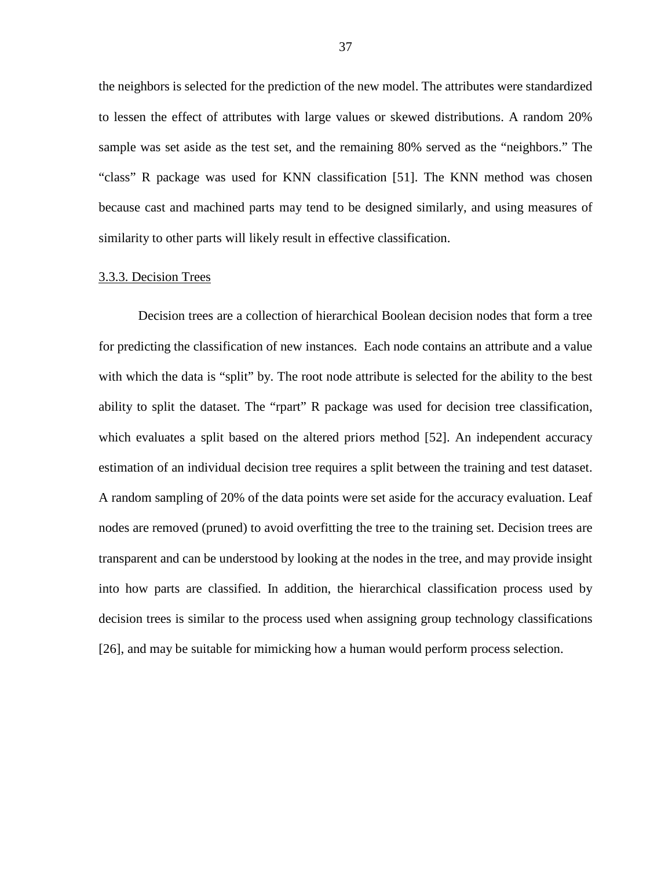the neighbors is selected for the prediction of the new model. The attributes were standardized to lessen the effect of attributes with large values or skewed distributions. A random 20% sample was set aside as the test set, and the remaining 80% served as the "neighbors." The "class" R package was used for KNN classification [\[51\]](#page-52-11). The KNN method was chosen because cast and machined parts may tend to be designed similarly, and using measures of similarity to other parts will likely result in effective classification.

#### 3.3.3. Decision Trees

Decision trees are a collection of hierarchical Boolean decision nodes that form a tree for predicting the classification of new instances. Each node contains an attribute and a value with which the data is "split" by. The root node attribute is selected for the ability to the best ability to split the dataset. The "rpart" R package was used for decision tree classification, which evaluates a split based on the altered priors method [\[52\]](#page-52-12). An independent accuracy estimation of an individual decision tree requires a split between the training and test dataset. A random sampling of 20% of the data points were set aside for the accuracy evaluation. Leaf nodes are removed (pruned) to avoid overfitting the tree to the training set. Decision trees are transparent and can be understood by looking at the nodes in the tree, and may provide insight into how parts are classified. In addition, the hierarchical classification process used by decision trees is similar to the process used when assigning group technology classifications [\[26\]](#page-50-10), and may be suitable for mimicking how a human would perform process selection.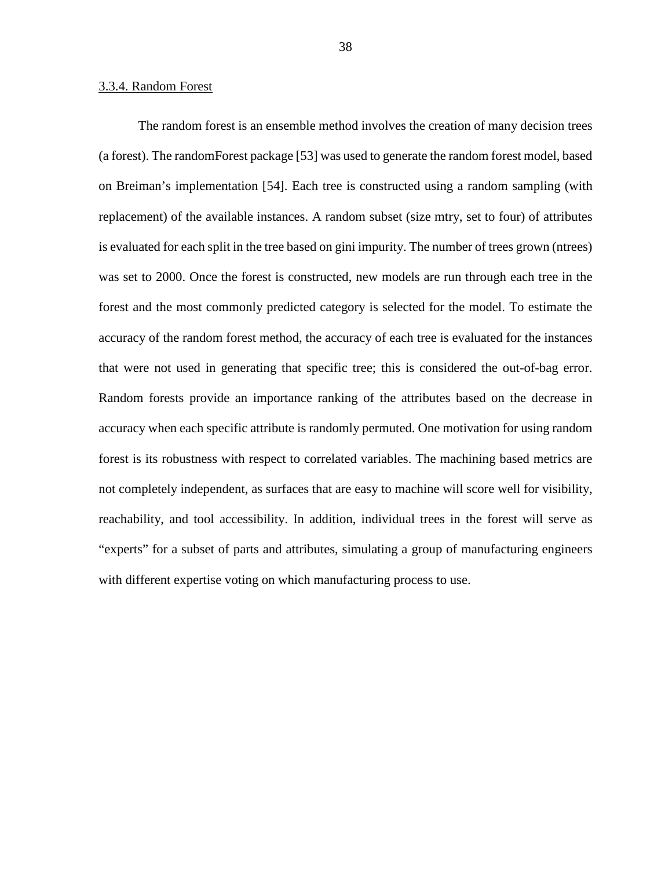#### 3.3.4. Random Forest

The random forest is an ensemble method involves the creation of many decision trees (a forest). The randomForest package [\[53\]](#page-52-13) was used to generate the random forest model, based on Breiman's implementation [\[54\]](#page-53-0). Each tree is constructed using a random sampling (with replacement) of the available instances. A random subset (size mtry, set to four) of attributes is evaluated for each split in the tree based on gini impurity. The number of trees grown (ntrees) was set to 2000. Once the forest is constructed, new models are run through each tree in the forest and the most commonly predicted category is selected for the model. To estimate the accuracy of the random forest method, the accuracy of each tree is evaluated for the instances that were not used in generating that specific tree; this is considered the out-of-bag error. Random forests provide an importance ranking of the attributes based on the decrease in accuracy when each specific attribute is randomly permuted. One motivation for using random forest is its robustness with respect to correlated variables. The machining based metrics are not completely independent, as surfaces that are easy to machine will score well for visibility, reachability, and tool accessibility. In addition, individual trees in the forest will serve as "experts" for a subset of parts and attributes, simulating a group of manufacturing engineers with different expertise voting on which manufacturing process to use.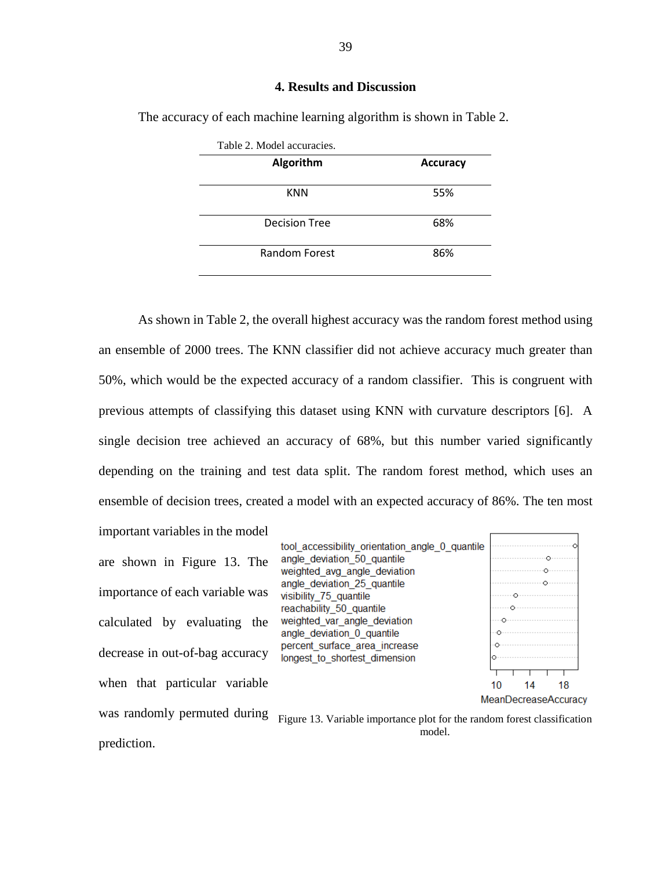### **4. Results and Discussion**

| Table 2. Model accuracies. |                 |
|----------------------------|-----------------|
| Algorithm                  | <b>Accuracy</b> |
| <b>KNN</b>                 | 55%             |
| <b>Decision Tree</b>       | 68%             |
| Random Forest              | 86%             |

<span id="page-42-0"></span>The accuracy of each machine learning algorithm is shown in Table 2.

As shown in Table 2, the overall highest accuracy was the random forest method using an ensemble of 2000 trees. The KNN classifier did not achieve accuracy much greater than 50%, which would be the expected accuracy of a random classifier. This is congruent with previous attempts of classifying this dataset using KNN with curvature descriptors [\[6\]](#page-49-6). A single decision tree achieved an accuracy of 68%, but this number varied significantly depending on the training and test data split. The random forest method, which uses an ensemble of decision trees, created a model with an expected accuracy of 86%. The ten most

important variables in the model are shown in Figure 13. The importance of each variable was calculated by evaluating the decrease in out-of-bag accuracy when that particular variable was randomly permuted during prediction.



Figure 13. Variable importance plot for the random forest classification model.

39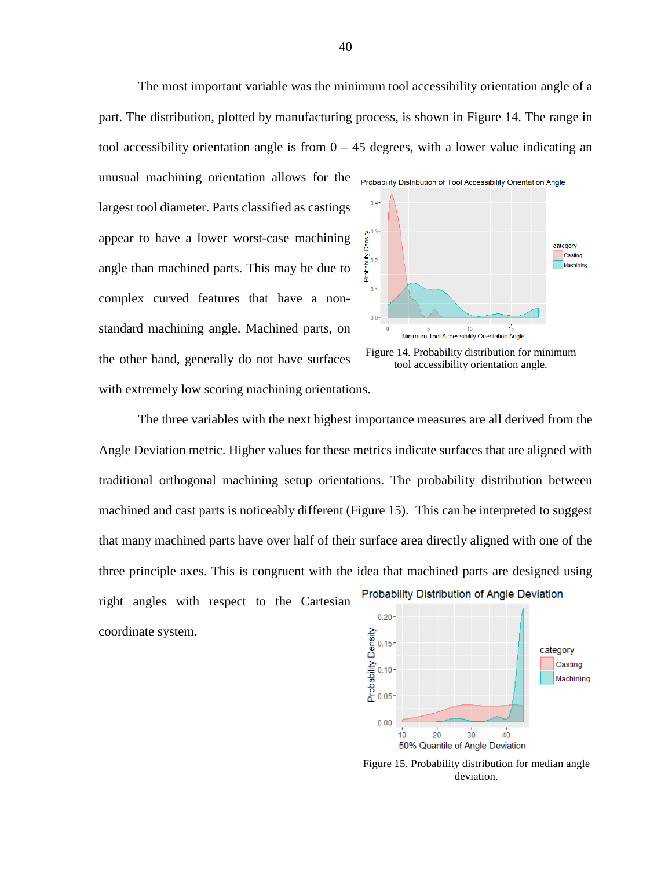The most important variable was the minimum tool accessibility orientation angle of a part. The distribution, plotted by manufacturing process, is shown in Figure 14. The range in tool accessibility orientation angle is from  $0 - 45$  degrees, with a lower value indicating an

unusual machining orientation allows for the <sub>Probability Distribution of Tool Accessibility Orientation Angle</sub> largest tool diameter. Parts classified as castings appear to have a lower worst-case machining angle than machined parts. This may be due to complex curved features that have a nonstandard machining angle. Machined parts, on the other hand, generally do not have surfaces with extremely low scoring machining orientations.





The three variables with the next highest importance measures are all derived from the Angle Deviation metric. Higher values for these metrics indicate surfaces that are aligned with traditional orthogonal machining setup orientations. The probability distribution between machined and cast parts is noticeably different (Figure 15). This can be interpreted to suggest that many machined parts have over half of their surface area directly aligned with one of the three principle axes. This is congruent with the idea that machined parts are designed using Probability Distribution of Angle Deviation right angles with respect to the Cartesian  $0.20$ coordinate system.



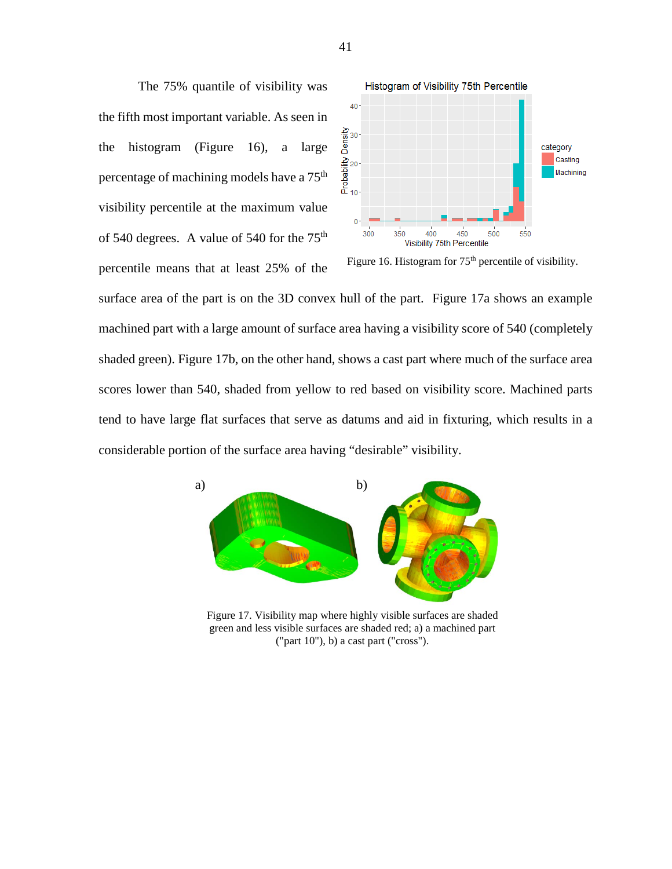The 75% quantile of visibility was the fifth most important variable. As seen in the histogram (Figure 16), a large percentage of machining models have a  $75<sup>th</sup>$ visibility percentile at the maximum value of 540 degrees. A value of 540 for the  $75<sup>th</sup>$ percentile means that at least 25% of the



Figure 16. Histogram for  $75<sup>th</sup>$  percentile of visibility.

surface area of the part is on the 3D convex hull of the part. Figure 17a shows an example machined part with a large amount of surface area having a visibility score of 540 (completely shaded green). Figure 17b, on the other hand, shows a cast part where much of the surface area scores lower than 540, shaded from yellow to red based on visibility score. Machined parts tend to have large flat surfaces that serve as datums and aid in fixturing, which results in a considerable portion of the surface area having "desirable" visibility.



Figure 17. Visibility map where highly visible surfaces are shaded green and less visible surfaces are shaded red; a) a machined part ("part 10"), b) a cast part ("cross").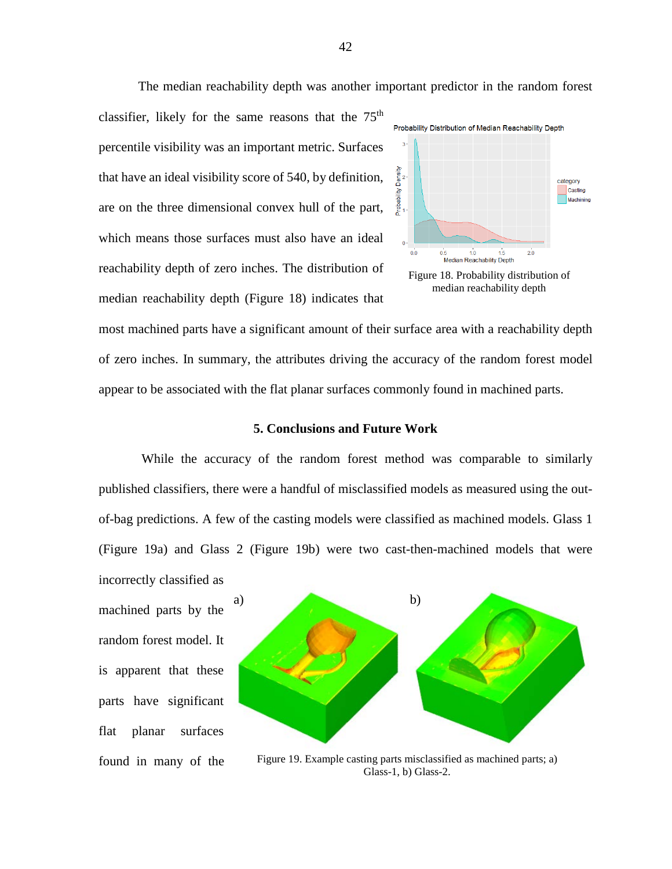The median reachability depth was another important predictor in the random forest

classifier, likely for the same reasons that the  $75<sup>th</sup>$ percentile visibility was an important metric. Surfaces that have an ideal visibility score of 540, by definition, are on the three dimensional convex hull of the part, which means those surfaces must also have an ideal reachability depth of zero inches. The distribution of median reachability depth (Figure 18) indicates that



most machined parts have a significant amount of their surface area with a reachability depth of zero inches. In summary, the attributes driving the accuracy of the random forest model appear to be associated with the flat planar surfaces commonly found in machined parts.

#### **5. Conclusions and Future Work**

<span id="page-45-0"></span>While the accuracy of the random forest method was comparable to similarly published classifiers, there were a handful of misclassified models as measured using the outof-bag predictions. A few of the casting models were classified as machined models. Glass 1 (Figure 19a) and Glass 2 (Figure 19b) were two cast-then-machined models that were

incorrectly classified as machined parts by the random forest model. It is apparent that these parts have significant flat planar surfaces found in many of the



Figure 19. Example casting parts misclassified as machined parts; a) Glass-1, b) Glass-2.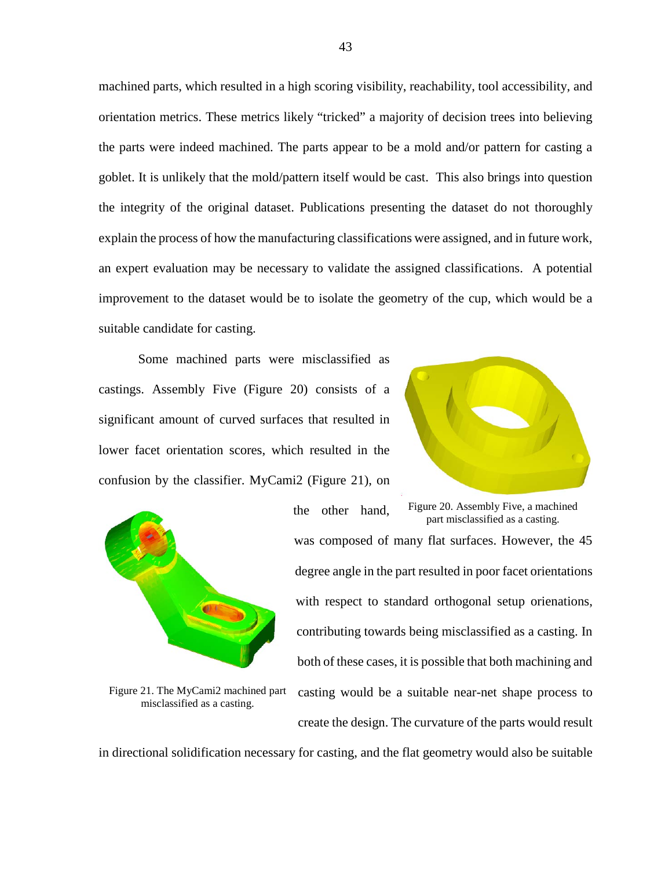machined parts, which resulted in a high scoring visibility, reachability, tool accessibility, and orientation metrics. These metrics likely "tricked" a majority of decision trees into believing the parts were indeed machined. The parts appear to be a mold and/or pattern for casting a goblet. It is unlikely that the mold/pattern itself would be cast. This also brings into question the integrity of the original dataset. Publications presenting the dataset do not thoroughly explain the process of how the manufacturing classifications were assigned, and in future work, an expert evaluation may be necessary to validate the assigned classifications. A potential improvement to the dataset would be to isolate the geometry of the cup, which would be a suitable candidate for casting.

Some machined parts were misclassified as castings. Assembly Five (Figure 20) consists of a significant amount of curved surfaces that resulted in lower facet orientation scores, which resulted in the confusion by the classifier. MyCami2 (Figure 21), on



Figure 21. The MyCami2 machined part misclassified as a casting.



the other hand, was composed of many flat surfaces. However, the 45 degree angle in the part resulted in poor facet orientations with respect to standard orthogonal setup orienations, contributing towards being misclassified as a casting. In both of these cases, it is possible that both machining and casting would be a suitable near-net shape process to create the design. The curvature of the parts would result Figure 20. Assembly Five, a machined part misclassified as a casting.

in directional solidification necessary for casting, and the flat geometry would also be suitable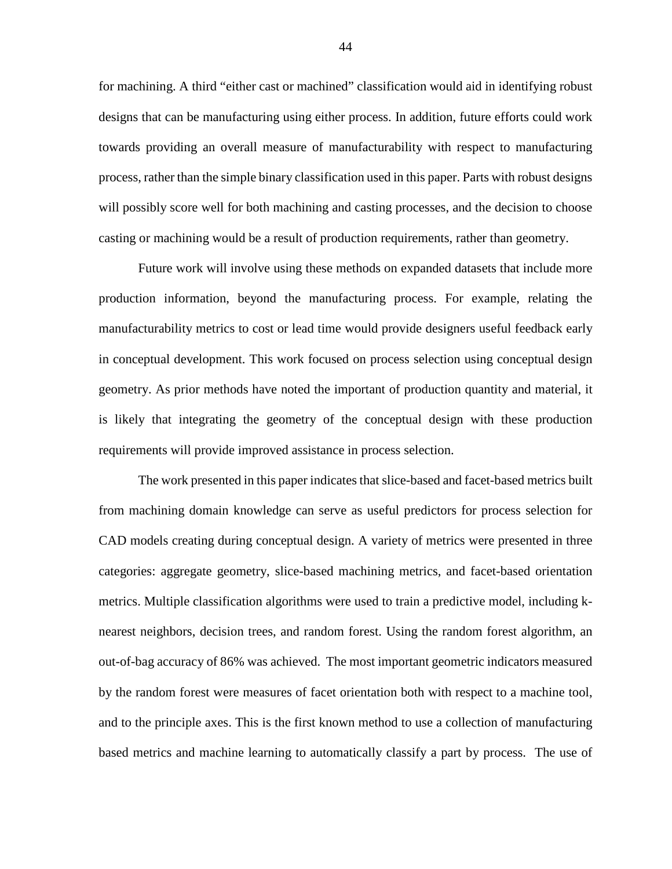for machining. A third "either cast or machined" classification would aid in identifying robust designs that can be manufacturing using either process. In addition, future efforts could work towards providing an overall measure of manufacturability with respect to manufacturing process, rather than the simple binary classification used in this paper. Parts with robust designs will possibly score well for both machining and casting processes, and the decision to choose casting or machining would be a result of production requirements, rather than geometry.

Future work will involve using these methods on expanded datasets that include more production information, beyond the manufacturing process. For example, relating the manufacturability metrics to cost or lead time would provide designers useful feedback early in conceptual development. This work focused on process selection using conceptual design geometry. As prior methods have noted the important of production quantity and material, it is likely that integrating the geometry of the conceptual design with these production requirements will provide improved assistance in process selection.

The work presented in this paper indicates that slice-based and facet-based metrics built from machining domain knowledge can serve as useful predictors for process selection for CAD models creating during conceptual design. A variety of metrics were presented in three categories: aggregate geometry, slice-based machining metrics, and facet-based orientation metrics. Multiple classification algorithms were used to train a predictive model, including knearest neighbors, decision trees, and random forest. Using the random forest algorithm, an out-of-bag accuracy of 86% was achieved. The most important geometric indicators measured by the random forest were measures of facet orientation both with respect to a machine tool, and to the principle axes. This is the first known method to use a collection of manufacturing based metrics and machine learning to automatically classify a part by process. The use of

44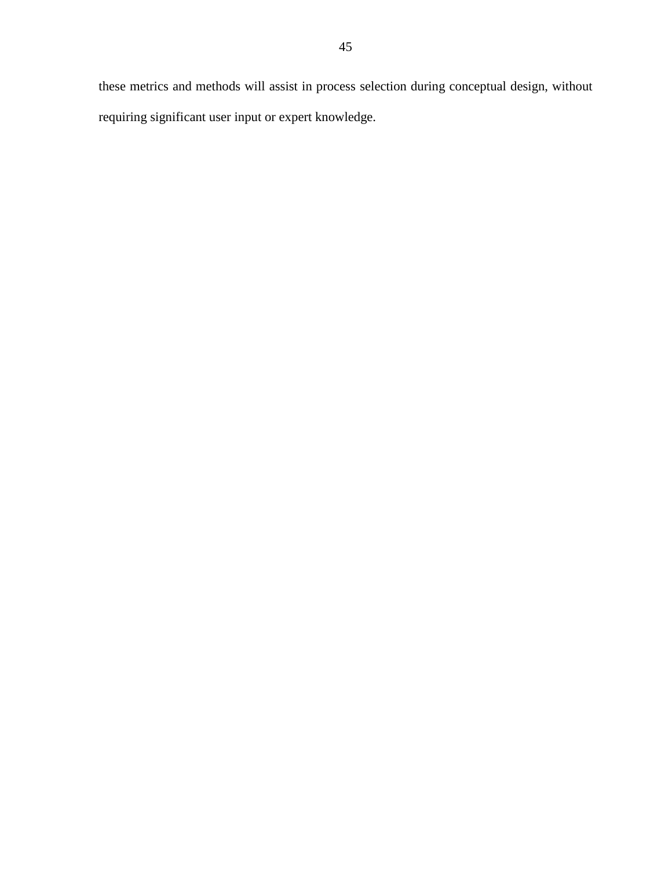these metrics and methods will assist in process selection during conceptual design, without requiring significant user input or expert knowledge.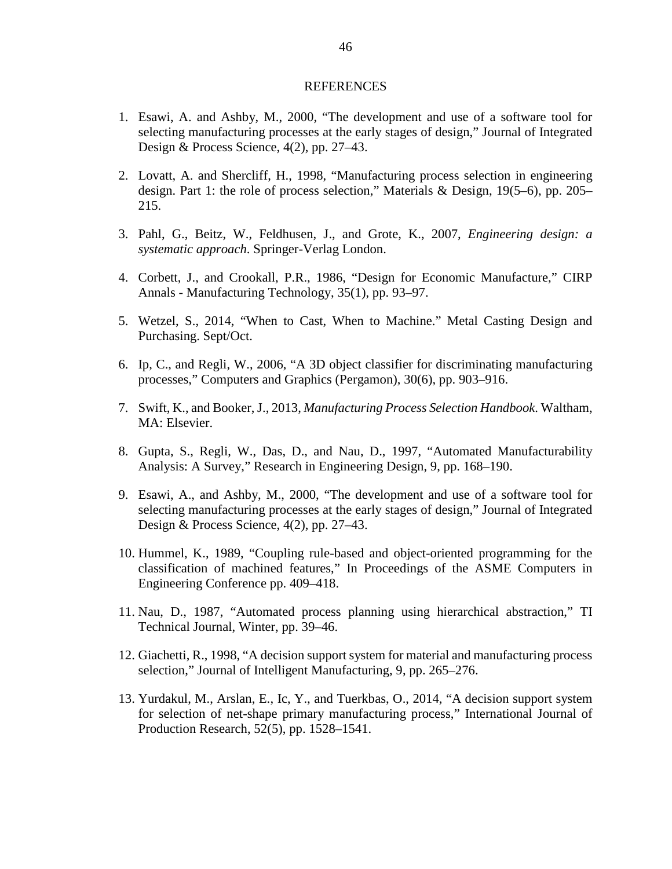#### **REFERENCES**

- <span id="page-49-1"></span><span id="page-49-0"></span>1. Esawi, A. and Ashby, M., 2000, "The development and use of a software tool for selecting manufacturing processes at the early stages of design," Journal of Integrated Design & Process Science, 4(2), pp. 27–43.
- <span id="page-49-2"></span>2. Lovatt, A. and Shercliff, H., 1998, "Manufacturing process selection in engineering design. Part 1: the role of process selection," Materials & Design, 19(5–6), pp. 205– 215.
- <span id="page-49-3"></span>3. Pahl, G., Beitz, W., Feldhusen, J., and Grote, K., 2007, *Engineering design: a systematic approach*. Springer-Verlag London.
- <span id="page-49-4"></span>4. Corbett, J., and Crookall, P.R., 1986, "Design for Economic Manufacture," CIRP Annals - Manufacturing Technology, 35(1), pp. 93–97.
- <span id="page-49-5"></span>5. Wetzel, S., 2014, "When to Cast, When to Machine." Metal Casting Design and Purchasing. Sept/Oct.
- <span id="page-49-6"></span>6. Ip, C., and Regli, W., 2006, "A 3D object classifier for discriminating manufacturing processes," Computers and Graphics (Pergamon), 30(6), pp. 903–916.
- <span id="page-49-7"></span>7. Swift, K., and Booker, J., 2013, *Manufacturing Process Selection Handbook*. Waltham, MA: Elsevier.
- <span id="page-49-8"></span>8. Gupta, S., Regli, W., Das, D., and Nau, D., 1997, "Automated Manufacturability Analysis: A Survey," Research in Engineering Design, 9, pp. 168–190.
- <span id="page-49-9"></span>9. Esawi, A., and Ashby, M., 2000, "The development and use of a software tool for selecting manufacturing processes at the early stages of design," Journal of Integrated Design & Process Science, 4(2), pp. 27–43.
- <span id="page-49-10"></span>10. Hummel, K., 1989, "Coupling rule-based and object-oriented programming for the classification of machined features," In Proceedings of the ASME Computers in Engineering Conference pp. 409–418.
- <span id="page-49-11"></span>11. Nau, D., 1987, "Automated process planning using hierarchical abstraction," TI Technical Journal, Winter, pp. 39–46.
- <span id="page-49-12"></span>12. Giachetti, R., 1998, "A decision support system for material and manufacturing process selection," Journal of Intelligent Manufacturing, 9, pp. 265–276.
- <span id="page-49-13"></span>13. Yurdakul, M., Arslan, E., Ic, Y., and Tuerkbas, O., 2014, "A decision support system for selection of net-shape primary manufacturing process," International Journal of Production Research, 52(5), pp. 1528–1541.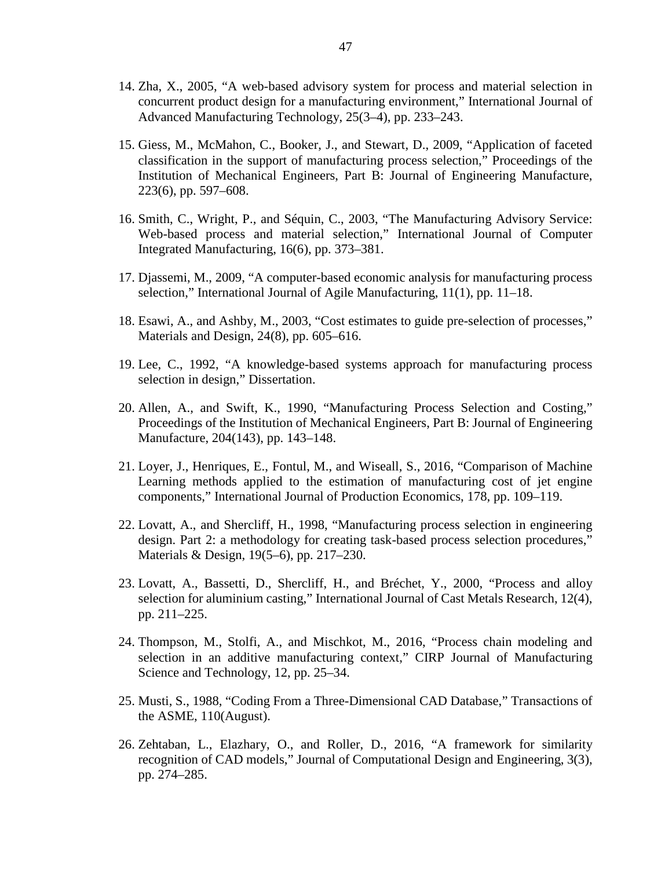- <span id="page-50-0"></span>14. Zha, X., 2005, "A web-based advisory system for process and material selection in concurrent product design for a manufacturing environment," International Journal of Advanced Manufacturing Technology, 25(3–4), pp. 233–243.
- <span id="page-50-1"></span>15. Giess, M., McMahon, C., Booker, J., and Stewart, D., 2009, "Application of faceted classification in the support of manufacturing process selection," Proceedings of the Institution of Mechanical Engineers, Part B: Journal of Engineering Manufacture, 223(6), pp. 597–608.
- <span id="page-50-2"></span>16. Smith, C., Wright, P., and Séquin, C., 2003, "The Manufacturing Advisory Service: Web-based process and material selection," International Journal of Computer Integrated Manufacturing, 16(6), pp. 373–381.
- <span id="page-50-3"></span>17. Djassemi, M., 2009, "A computer-based economic analysis for manufacturing process selection," International Journal of Agile Manufacturing, 11(1), pp. 11–18.
- 18. Esawi, A., and Ashby, M., 2003, "Cost estimates to guide pre-selection of processes," Materials and Design, 24(8), pp. 605–616.
- 19. Lee, C., 1992, "A knowledge-based systems approach for manufacturing process selection in design," Dissertation.
- <span id="page-50-4"></span>20. Allen, A., and Swift, K., 1990, "Manufacturing Process Selection and Costing," Proceedings of the Institution of Mechanical Engineers, Part B: Journal of Engineering Manufacture, 204(143), pp. 143–148.
- <span id="page-50-5"></span>21. Loyer, J., Henriques, E., Fontul, M., and Wiseall, S., 2016, "Comparison of Machine Learning methods applied to the estimation of manufacturing cost of jet engine components," International Journal of Production Economics, 178, pp. 109–119.
- <span id="page-50-6"></span>22. Lovatt, A., and Shercliff, H., 1998, "Manufacturing process selection in engineering design. Part 2: a methodology for creating task-based process selection procedures," Materials & Design, 19(5–6), pp. 217–230.
- <span id="page-50-7"></span>23. Lovatt, A., Bassetti, D., Shercliff, H., and Bréchet, Y., 2000, "Process and alloy selection for aluminium casting," International Journal of Cast Metals Research, 12(4), pp. 211–225.
- <span id="page-50-8"></span>24. Thompson, M., Stolfi, A., and Mischkot, M., 2016, "Process chain modeling and selection in an additive manufacturing context," CIRP Journal of Manufacturing Science and Technology, 12, pp. 25–34.
- <span id="page-50-9"></span>25. Musti, S., 1988, "Coding From a Three-Dimensional CAD Database," Transactions of the ASME, 110(August).
- <span id="page-50-10"></span>26. Zehtaban, L., Elazhary, O., and Roller, D., 2016, "A framework for similarity recognition of CAD models," Journal of Computational Design and Engineering, 3(3), pp. 274–285.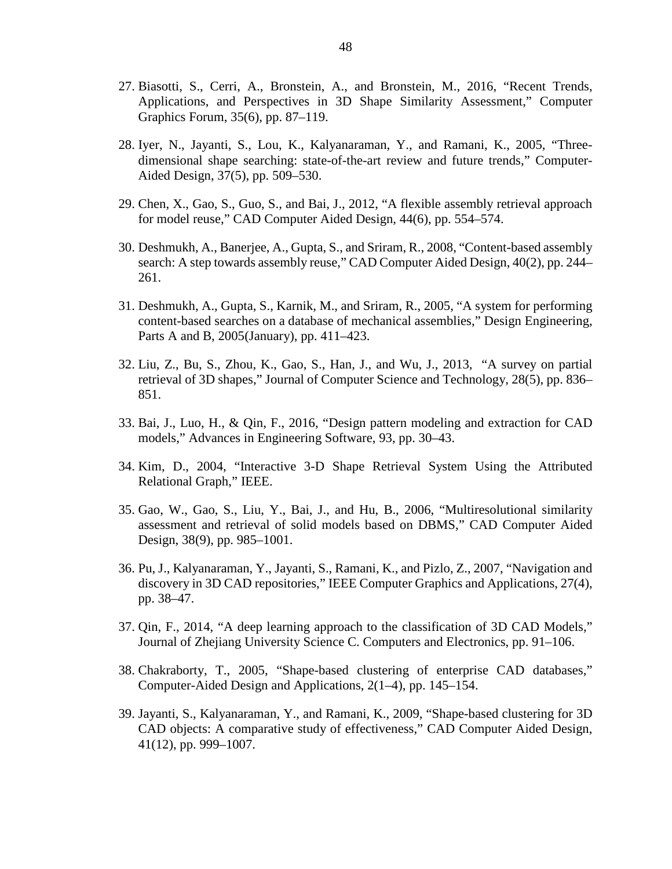- <span id="page-51-0"></span>27. Biasotti, S., Cerri, A., Bronstein, A., and Bronstein, M., 2016, "Recent Trends, Applications, and Perspectives in 3D Shape Similarity Assessment," Computer Graphics Forum, 35(6), pp. 87–119.
- <span id="page-51-1"></span>28. Iyer, N., Jayanti, S., Lou, K., Kalyanaraman, Y., and Ramani, K., 2005, "Threedimensional shape searching: state-of-the-art review and future trends," Computer-Aided Design, 37(5), pp. 509–530.
- <span id="page-51-2"></span>29. Chen, X., Gao, S., Guo, S., and Bai, J., 2012, "A flexible assembly retrieval approach for model reuse," CAD Computer Aided Design, 44(6), pp. 554–574.
- 30. Deshmukh, A., Banerjee, A., Gupta, S., and Sriram, R., 2008, "Content-based assembly search: A step towards assembly reuse," CAD Computer Aided Design, 40(2), pp. 244– 261.
- <span id="page-51-3"></span>31. Deshmukh, A., Gupta, S., Karnik, M., and Sriram, R., 2005, "A system for performing content-based searches on a database of mechanical assemblies," Design Engineering, Parts A and B, 2005(January), pp. 411–423.
- <span id="page-51-4"></span>32. Liu, Z., Bu, S., Zhou, K., Gao, S., Han, J., and Wu, J., 2013, "A survey on partial retrieval of 3D shapes," Journal of Computer Science and Technology, 28(5), pp. 836– 851.
- 33. Bai, J., Luo, H., & Qin, F., 2016, "Design pattern modeling and extraction for CAD models," Advances in Engineering Software, 93, pp. 30–43.
- 34. Kim, D., 2004, "Interactive 3-D Shape Retrieval System Using the Attributed Relational Graph," IEEE.
- 35. Gao, W., Gao, S., Liu, Y., Bai, J., and Hu, B., 2006, "Multiresolutional similarity assessment and retrieval of solid models based on DBMS," CAD Computer Aided Design, 38(9), pp. 985–1001.
- <span id="page-51-5"></span>36. Pu, J., Kalyanaraman, Y., Jayanti, S., Ramani, K., and Pizlo, Z., 2007, "Navigation and discovery in 3D CAD repositories," IEEE Computer Graphics and Applications, 27(4), pp. 38–47.
- <span id="page-51-6"></span>37. Qin, F., 2014, "A deep learning approach to the classification of 3D CAD Models," Journal of Zhejiang University Science C. Computers and Electronics, pp. 91–106.
- <span id="page-51-7"></span>38. Chakraborty, T., 2005, "Shape-based clustering of enterprise CAD databases," Computer-Aided Design and Applications, 2(1–4), pp. 145–154.
- <span id="page-51-8"></span>39. Jayanti, S., Kalyanaraman, Y., and Ramani, K., 2009, "Shape-based clustering for 3D CAD objects: A comparative study of effectiveness," CAD Computer Aided Design, 41(12), pp. 999–1007.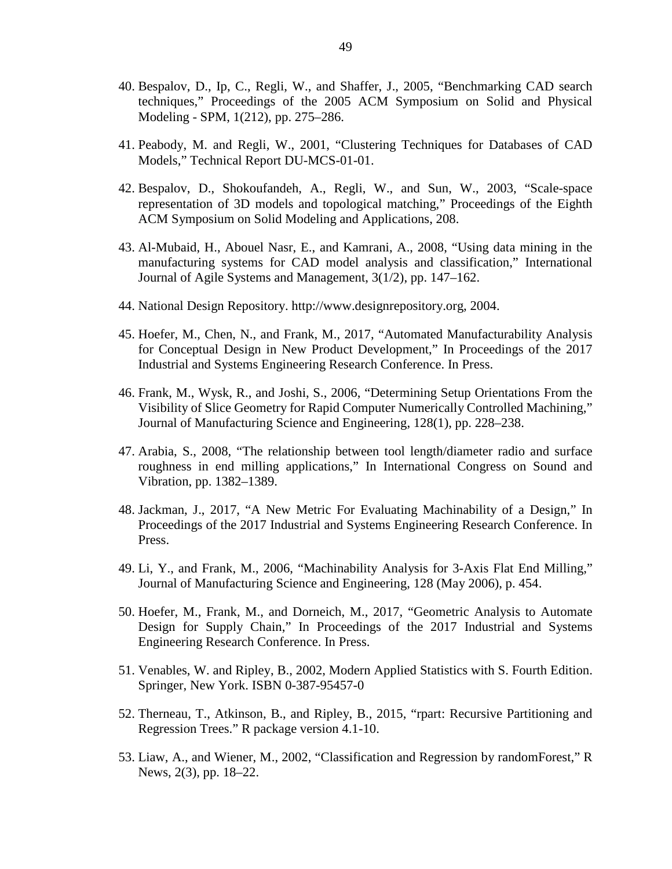- <span id="page-52-0"></span>40. Bespalov, D., Ip, C., Regli, W., and Shaffer, J., 2005, "Benchmarking CAD search techniques," Proceedings of the 2005 ACM Symposium on Solid and Physical Modeling - SPM, 1(212), pp. 275–286.
- <span id="page-52-1"></span>41. Peabody, M. and Regli, W., 2001, "Clustering Techniques for Databases of CAD Models," Technical Report DU-MCS-01-01.
- <span id="page-52-2"></span>42. Bespalov, D., Shokoufandeh, A., Regli, W., and Sun, W., 2003, "Scale-space representation of 3D models and topological matching," Proceedings of the Eighth ACM Symposium on Solid Modeling and Applications, 208.
- <span id="page-52-3"></span>43. Al-Mubaid, H., Abouel Nasr, E., and Kamrani, A., 2008, "Using data mining in the manufacturing systems for CAD model analysis and classification," International Journal of Agile Systems and Management, 3(1/2), pp. 147–162.
- <span id="page-52-4"></span>44. National Design Repository. http://www.designrepository.org, 2004.
- <span id="page-52-5"></span>45. Hoefer, M., Chen, N., and Frank, M., 2017, "Automated Manufacturability Analysis for Conceptual Design in New Product Development," In Proceedings of the 2017 Industrial and Systems Engineering Research Conference. In Press.
- <span id="page-52-6"></span>46. Frank, M., Wysk, R., and Joshi, S., 2006, "Determining Setup Orientations From the Visibility of Slice Geometry for Rapid Computer Numerically Controlled Machining," Journal of Manufacturing Science and Engineering, 128(1), pp. 228–238.
- <span id="page-52-7"></span>47. Arabia, S., 2008, "The relationship between tool length/diameter radio and surface roughness in end milling applications," In International Congress on Sound and Vibration, pp. 1382–1389.
- <span id="page-52-8"></span>48. Jackman, J., 2017, "A New Metric For Evaluating Machinability of a Design," In Proceedings of the 2017 Industrial and Systems Engineering Research Conference. In Press.
- <span id="page-52-9"></span>49. Li, Y., and Frank, M., 2006, "Machinability Analysis for 3-Axis Flat End Milling," Journal of Manufacturing Science and Engineering, 128 (May 2006), p. 454.
- <span id="page-52-10"></span>50. Hoefer, M., Frank, M., and Dorneich, M., 2017, "Geometric Analysis to Automate Design for Supply Chain," In Proceedings of the 2017 Industrial and Systems Engineering Research Conference. In Press.
- <span id="page-52-11"></span>51. Venables, W. and Ripley, B., 2002, Modern Applied Statistics with S. Fourth Edition. Springer, New York. ISBN 0-387-95457-0
- <span id="page-52-12"></span>52. Therneau, T., Atkinson, B., and Ripley, B., 2015, "rpart: Recursive Partitioning and Regression Trees." R package version 4.1-10.
- <span id="page-52-13"></span>53. Liaw, A., and Wiener, M., 2002, "Classification and Regression by randomForest," R News, 2(3), pp. 18–22.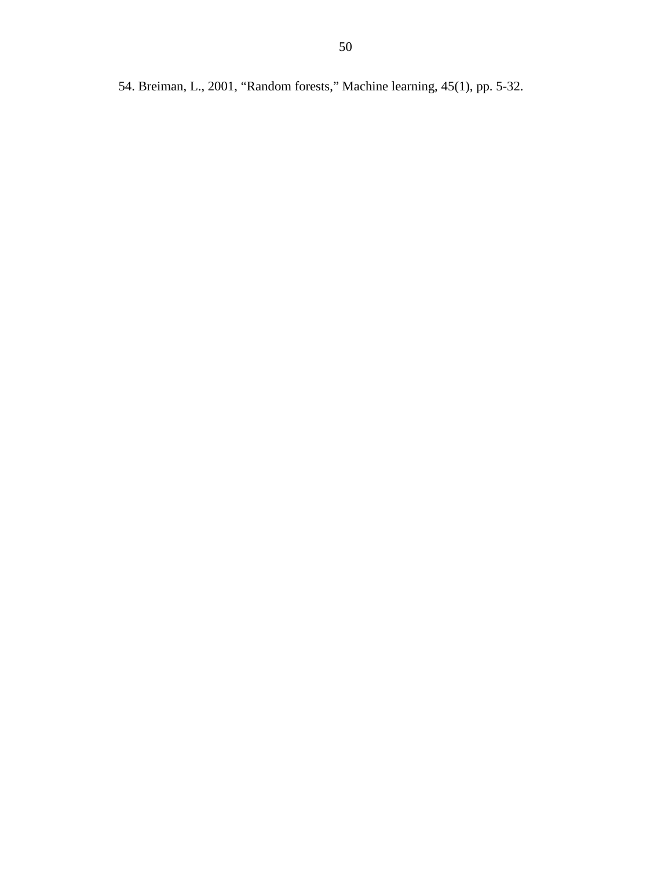<span id="page-53-0"></span>54. Breiman, L., 2001, "Random forests," Machine learning, 45(1), pp. 5-32.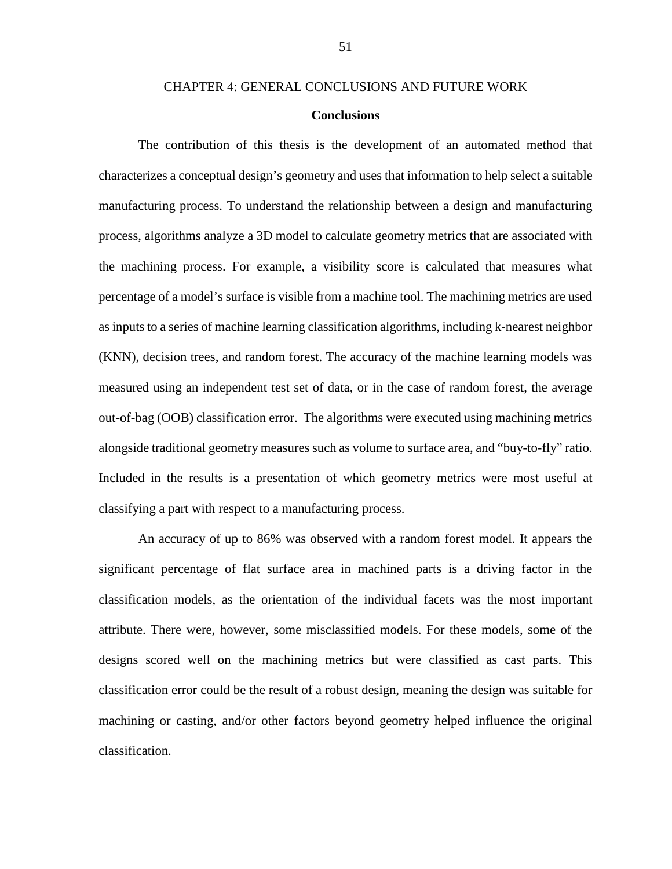# CHAPTER 4: GENERAL CONCLUSIONS AND FUTURE WORK

# **Conclusions**

<span id="page-54-1"></span><span id="page-54-0"></span>The contribution of this thesis is the development of an automated method that characterizes a conceptual design's geometry and uses that information to help select a suitable manufacturing process. To understand the relationship between a design and manufacturing process, algorithms analyze a 3D model to calculate geometry metrics that are associated with the machining process. For example, a visibility score is calculated that measures what percentage of a model's surface is visible from a machine tool. The machining metrics are used as inputs to a series of machine learning classification algorithms, including k-nearest neighbor (KNN), decision trees, and random forest. The accuracy of the machine learning models was measured using an independent test set of data, or in the case of random forest, the average out-of-bag (OOB) classification error. The algorithms were executed using machining metrics alongside traditional geometry measures such as volume to surface area, and "buy-to-fly" ratio. Included in the results is a presentation of which geometry metrics were most useful at classifying a part with respect to a manufacturing process.

An accuracy of up to 86% was observed with a random forest model. It appears the significant percentage of flat surface area in machined parts is a driving factor in the classification models, as the orientation of the individual facets was the most important attribute. There were, however, some misclassified models. For these models, some of the designs scored well on the machining metrics but were classified as cast parts. This classification error could be the result of a robust design, meaning the design was suitable for machining or casting, and/or other factors beyond geometry helped influence the original classification.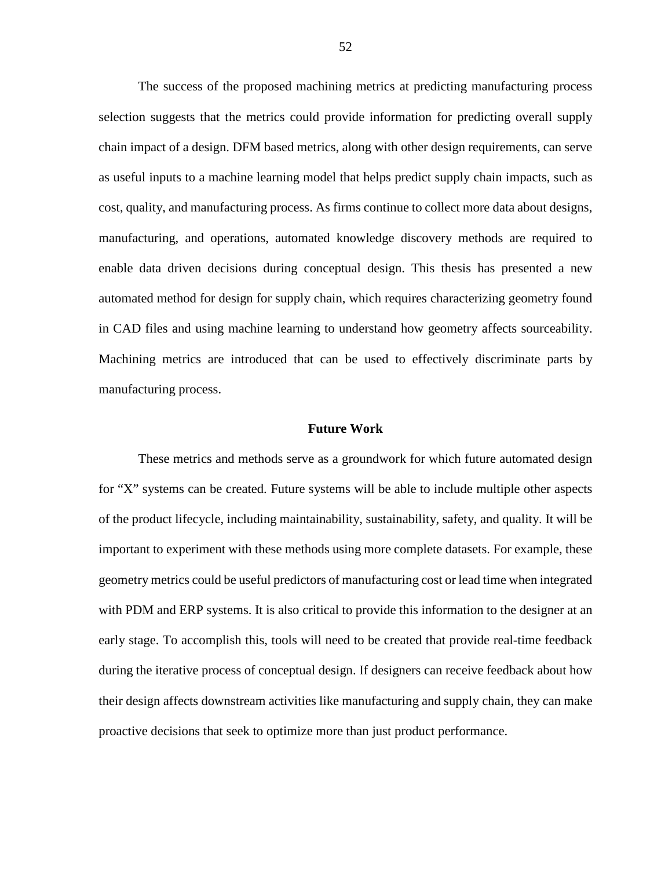The success of the proposed machining metrics at predicting manufacturing process selection suggests that the metrics could provide information for predicting overall supply chain impact of a design. DFM based metrics, along with other design requirements, can serve as useful inputs to a machine learning model that helps predict supply chain impacts, such as cost, quality, and manufacturing process. As firms continue to collect more data about designs, manufacturing, and operations, automated knowledge discovery methods are required to enable data driven decisions during conceptual design. This thesis has presented a new automated method for design for supply chain, which requires characterizing geometry found in CAD files and using machine learning to understand how geometry affects sourceability. Machining metrics are introduced that can be used to effectively discriminate parts by manufacturing process.

#### **Future Work**

<span id="page-55-0"></span>These metrics and methods serve as a groundwork for which future automated design for "X" systems can be created. Future systems will be able to include multiple other aspects of the product lifecycle, including maintainability, sustainability, safety, and quality. It will be important to experiment with these methods using more complete datasets. For example, these geometry metrics could be useful predictors of manufacturing cost or lead time when integrated with PDM and ERP systems. It is also critical to provide this information to the designer at an early stage. To accomplish this, tools will need to be created that provide real-time feedback during the iterative process of conceptual design. If designers can receive feedback about how their design affects downstream activities like manufacturing and supply chain, they can make proactive decisions that seek to optimize more than just product performance.